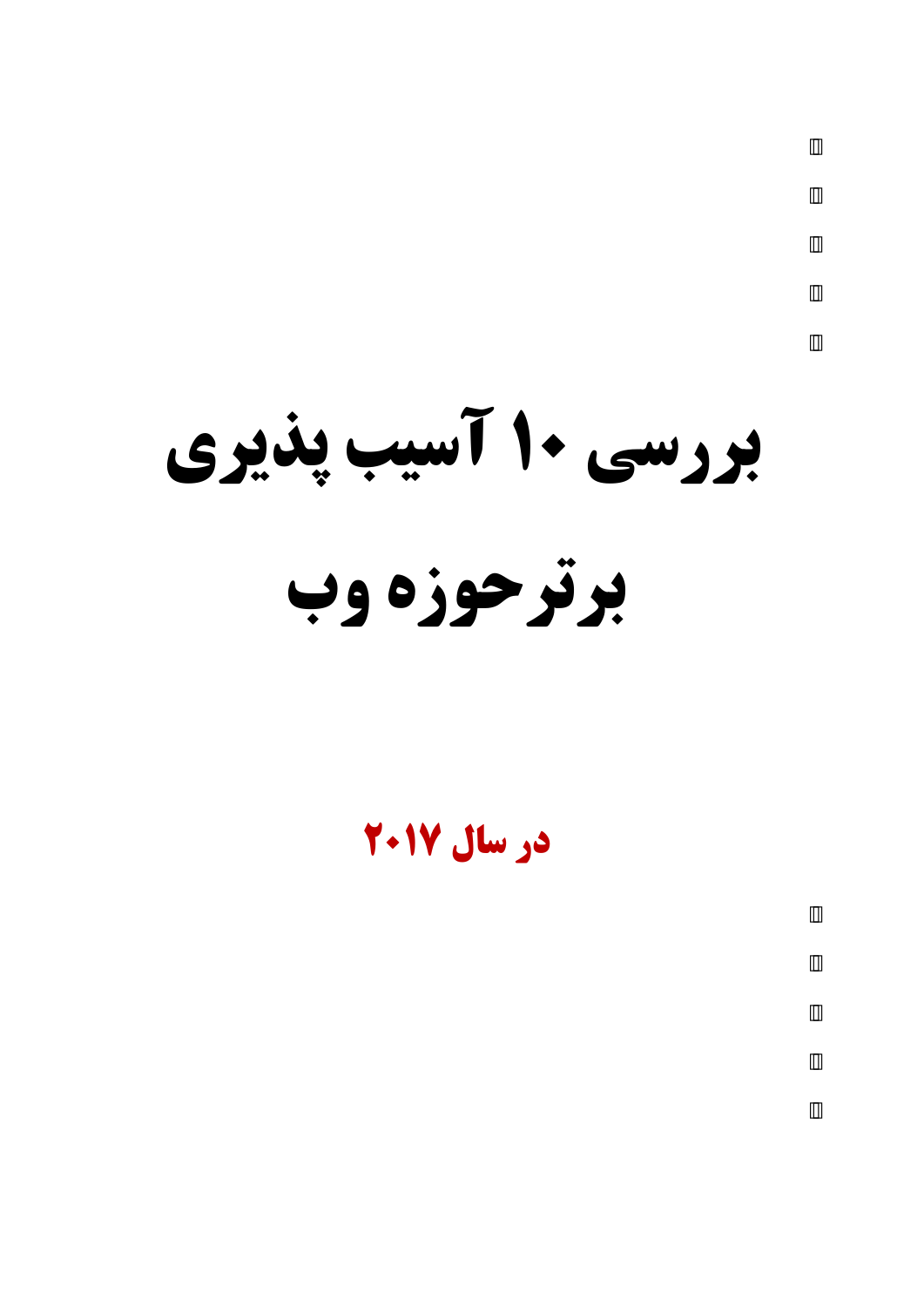**بررسی ۱۰ آسیب پذیری** 

**برتر حوزه وب** 

**5ر سال 1702**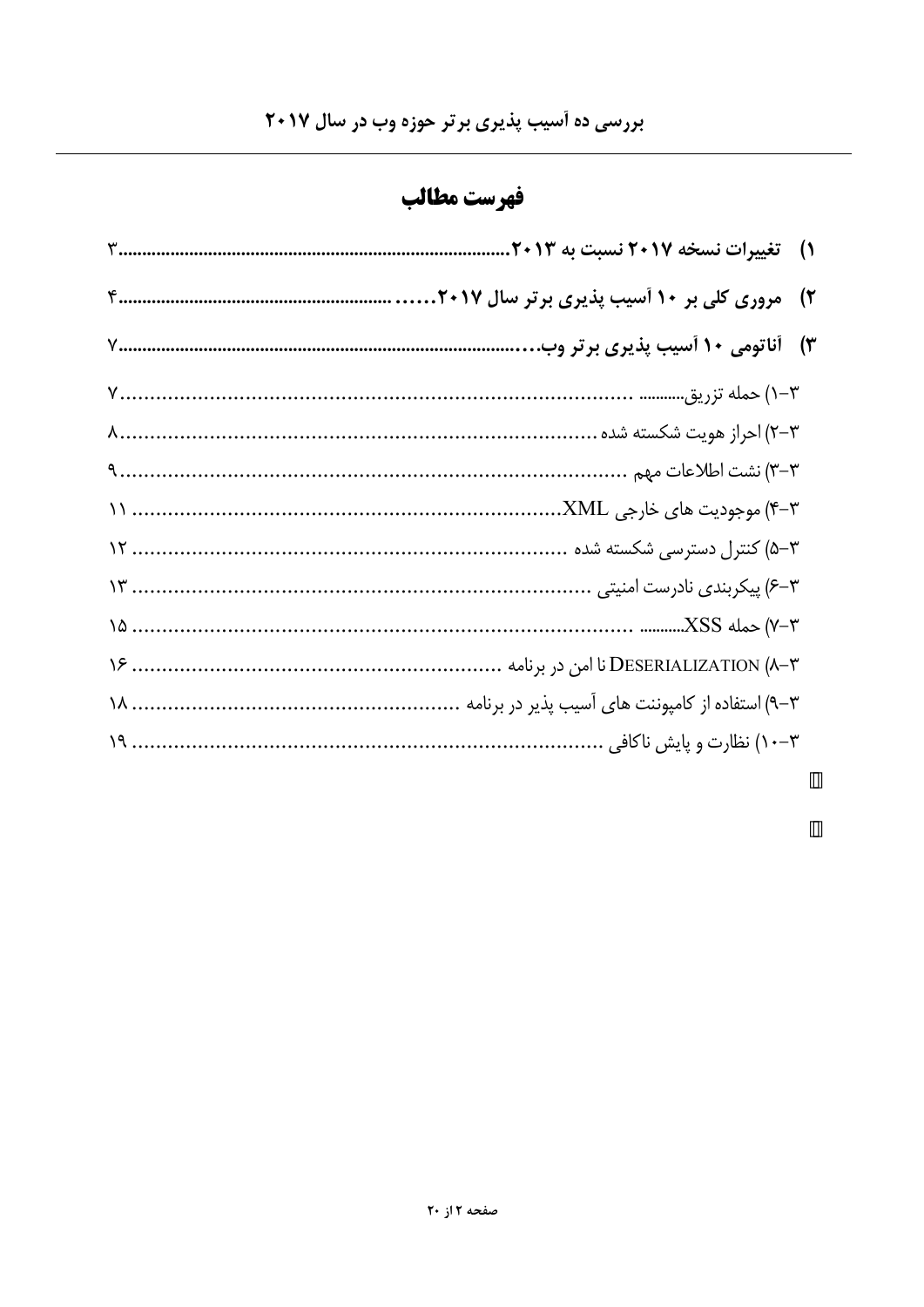| <b>قهرست مطالب</b> |  |  |
|--------------------|--|--|
|--------------------|--|--|

| ۱) = تغییرات نسخه ۲۰۱۷ نسبت به ۲۰۱۳               |
|---------------------------------------------------|
|                                                   |
| ۳)۔ آناتومی ۱۰ آسیب پذیری برتر وب.                |
|                                                   |
|                                                   |
|                                                   |
|                                                   |
|                                                   |
|                                                   |
|                                                   |
|                                                   |
| ۰۳–۹) استفاده از کامپوننت های آسیب پذیر در برنامه |
|                                                   |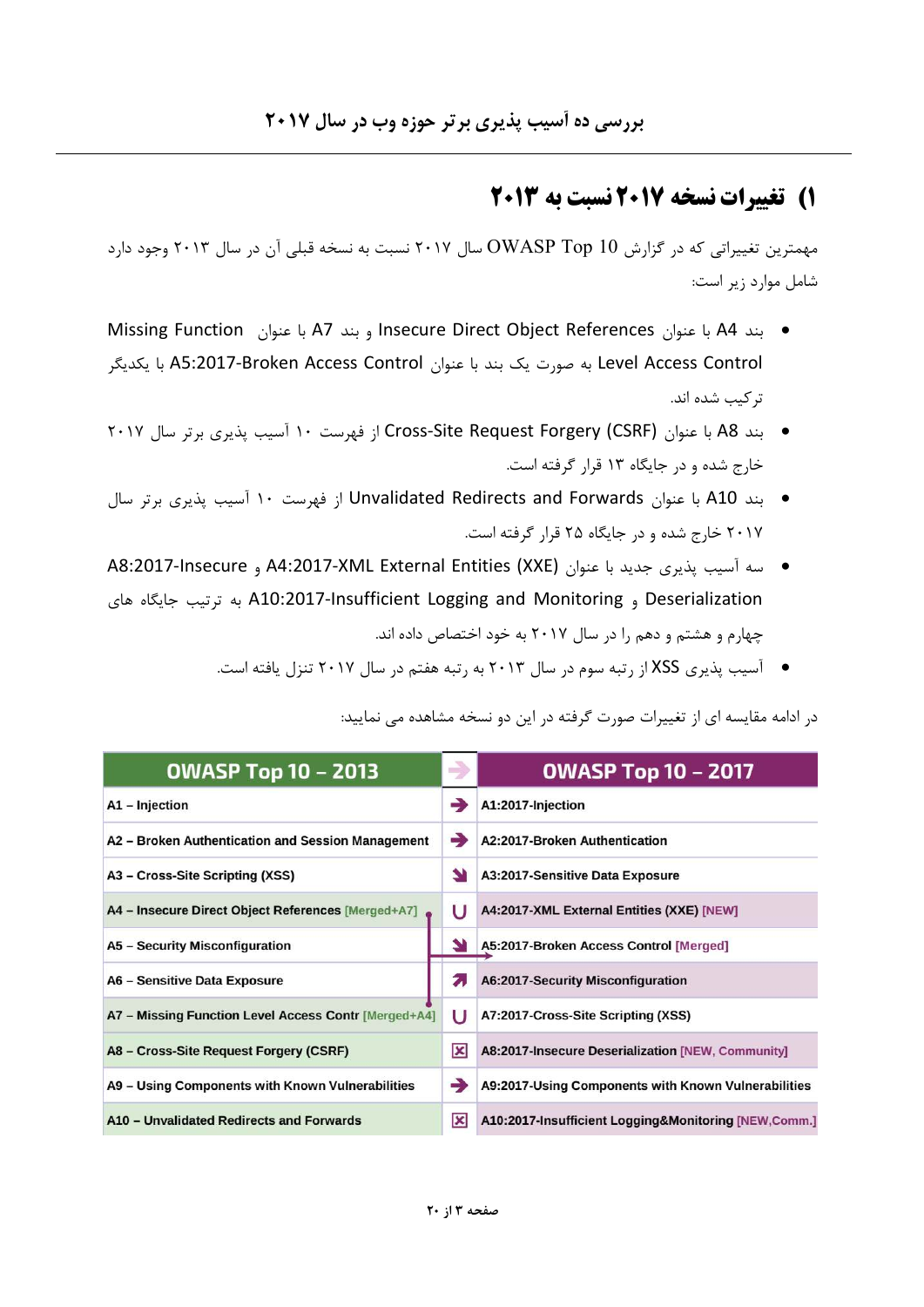# **1) تغییرات نسخه ۲۰۱۷ نسبت به ۲۰۱۳**

مهمترین تغییراتی که در گزارش OWASP Top 10 سال ۲۰۱۷ نسبت به نسخه قبلی آن در سال ۲۰۱۳ وجود دارد شامل موارد زير است:

- بند 44 با عنوان Insecure Direct Object References و بند 47 با عنوان Missing Function Level Access Control به صورت یک بند با عنوان A5:2017-Broken Access Control با یکدیگر تر کیب شده اند.
- بند A8 با عنوان Cross-Site Request Forgery (CSRF) از فهرست ١٠ آسيب يذيري برتر سال ٢٠١٧ خارج شده و در جایگاه ۱۳ قرار گرفته است.
- بند A10 با عنوان Unvalidated Redirects and Forwards از فهرست ١٠ آسيب يذيري برتر سال ۲۰۱۷ خارج شده و در جایگاه ۲۵ قرار گرفته است.
- سه آسیب یذیری جدید با عنوان A4:2017-XML External Entities (XXE) و A8:2017-Insecure Deserialization و A10:2017-Insufficient Logging and Monitoring به ترتيب جايگاه هاى چهارم و هشتم و دهم را در سال ۲۰۱۷ به خود اختصاص داده اند.
	- $\bullet$  آسیب پذیری XSS از رتبه سوم در سال ۲۰۱۳ به رتبه هفتم در سال ۲۰۱۷ تنزل یافته است.

| <b>OWASP Top 10 - 2013</b>                           | $\rightarrow$ | <b>OWASP Top 10 - 2017</b>                           |
|------------------------------------------------------|---------------|------------------------------------------------------|
| A1 - Injection                                       |               | A1:2017-Injection                                    |
| A2 - Broken Authentication and Session Management    | -             | A2:2017-Broken Authentication                        |
| A3 – Cross-Site Scripting (XSS)                      | N             | A3:2017-Sensitive Data Exposure                      |
| A4 - Insecure Direct Object References [Merged+A7]   | U             | A4:2017-XML External Entities (XXE) [NEW]            |
| A5 - Security Misconfiguration                       |               | A5:2017-Broken Access Control [Merged]               |
| A6 - Sensitive Data Exposure                         | 2.            | A6:2017-Security Misconfiguration                    |
| A7 - Missing Function Level Access Contr [Merged+A4] | U             | A7:2017-Cross-Site Scripting (XSS)                   |
| A8 - Cross-Site Request Forgery (CSRF)               | x             | A8:2017-Insecure Deserialization [NEW, Community]    |
| A9 - Using Components with Known Vulnerabilities     | -3            | A9:2017-Using Components with Known Vulnerabilities  |
| A10 - Unvalidated Redirects and Forwards             | x             | A10:2017-Insufficient Logging&Monitoring [NEW,Comm.] |

در ادامه مقايسه اي از تغييرات صورت گرفته در اين دو نسخه مشاهده مي نماييد: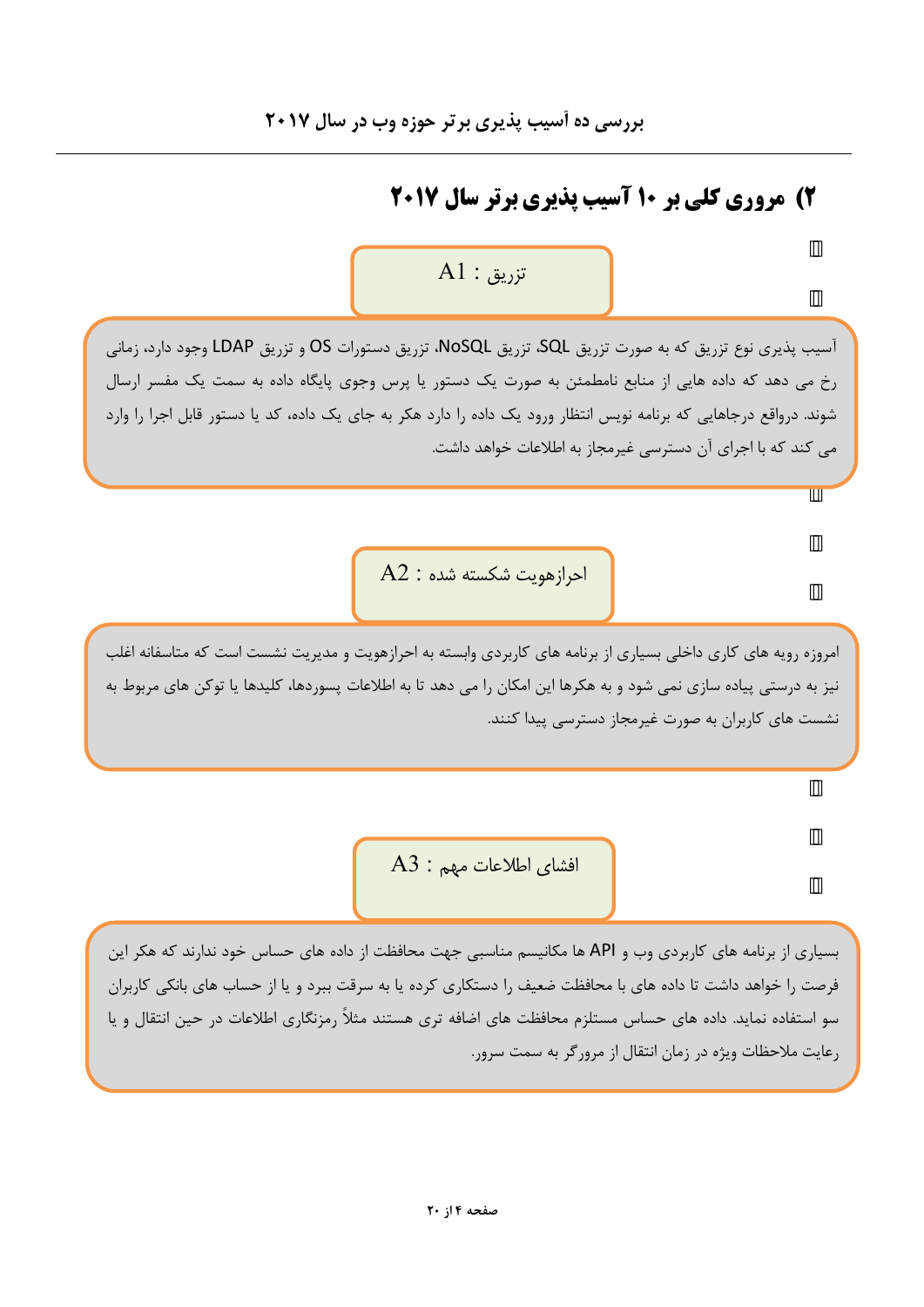# 2) مروری کلی بر 10 آسیب پذیری برتر سال 2017

# $A1$  : تزريق

آسیب پذیری نوع تزریق که به صورت تزریق SQL، تزریق NoSQL، تزریق دستورات OS و تزریق LDAP وجود دارد، زمانی رخ می دهد که داده هایی از منابع نامطمئن به صورت یک دستور یا پرس وجوی پایگاه داده به سمت یک مفسر ارسال شوند. درواقع درجاهایی که برنامه نویس انتظار ورود یک داده را دارد هکر به جای یک داده، کد یا دستور قابل اجرا را وارد می کند که با اجرای آن دسترسی غیرمجاز به اطلاعات خواهد داشت.

 $A2$  احرازهویت شکسته شده :

امروزه رويه هاي كاري داخلي بسياري از برنامه هاي كاربردي وابسته به احرازهويت و مديريت نشست است كه متاسفانه اغلب نیز به درستی پیاده سازی نمی شود و به هکرها این امکان را می دهد تا به اطلاعات پسوردها، کلیدها یا توکن های مربوط به نشست های کاربران به صورت غیرمجاز دسترسی پیدا کنند.

 $A3$  افشای اطلاعات مهم :

بسیاری از برنامه های کاربردی وب و API ها مکانیسم مناسبی جهت محافظت از داده های حساس خود ندارند که هکر این فرصت را خواهد داشت تا داده های با محافظت ضعیف را دستکاری کرده یا به سرقت ببرد و یا از حساب های بانکی کاربران سو استفاده نماید. داده های حساس مستلزم محافظت های اضافه تری هستند مثلاً رمزنگاری اطلاعات در حین انتقال و یا رعایت ملاحظات ویژه در زمان انتقال از مرورگر به سمت سرور.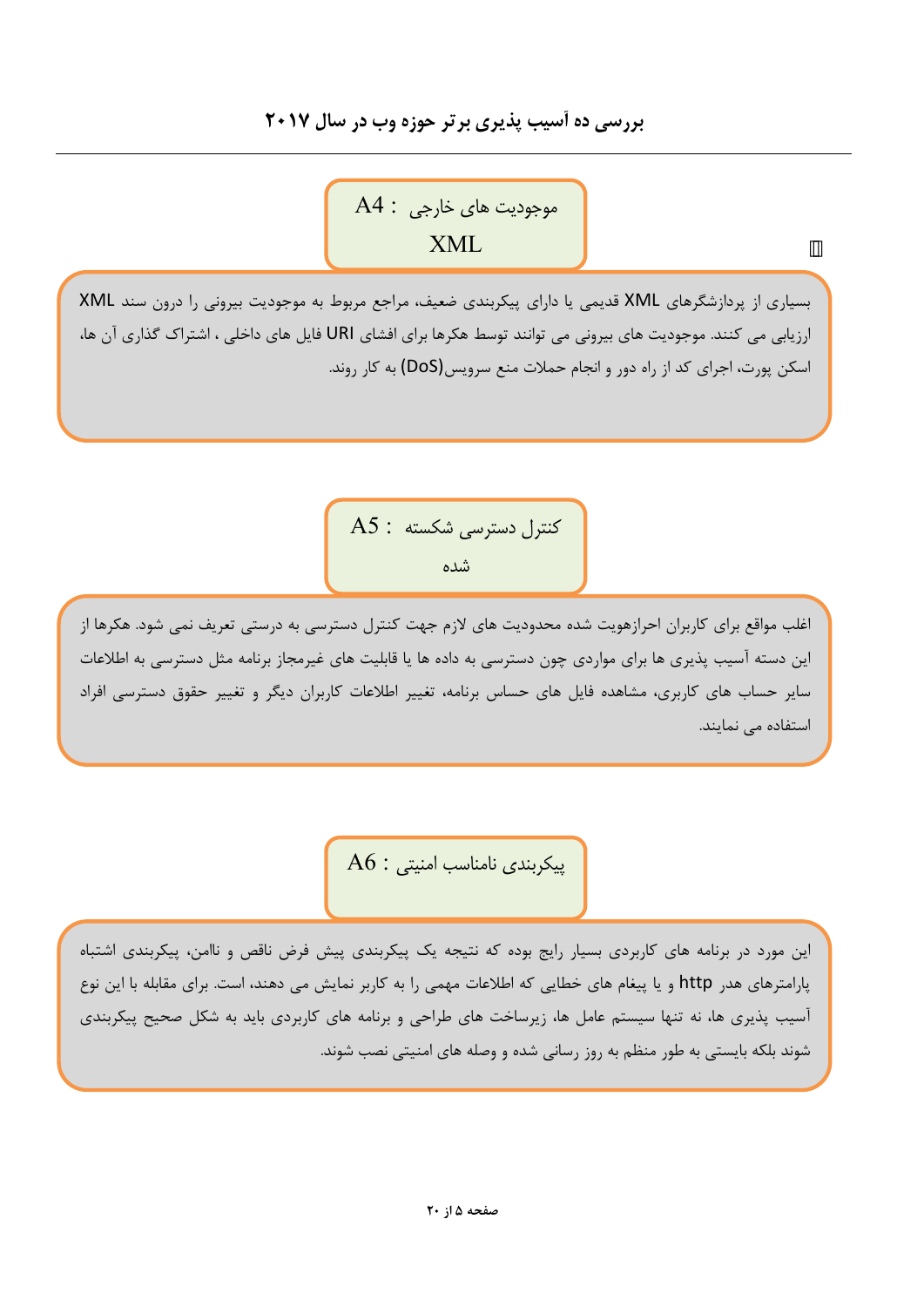## بررسی ده آسیب پذیری برتر حوزه وب در سال ۲۰۱۷

موجوديت هاي خارجي : A4 **XML** 

بسیاری از پردازشگرهای XML قدیمی یا دارای پیکربندی ضعیف، مراجع مربوط به موجودیت بیرونی را درون سند XML ارزیابی می کنند. موجودیت های بیرونی می توانند توسط هکرها برای افشای URI فایل های داخلی ، اشتراک گذاری آن ها، اسکن پورت، اجرای کد از راه دور و انجام حملات منع سرویس(DoS) به کار روند.

> $AS:$  كنترل دسترسى شكسته شده

اغلب مواقع برای کاربران احرازهویت شده محدودیت های لازم جهت کنترل دسترسی به درستی تعریف نمی شود. هکرها از این دسته آسیب پذیری ها برای مواردی چون دسترسی به داده ها یا قابلیت های غیرمجاز برنامه مثل دسترسی به اطلاعات سایر حساب های کاربری، مشاهده فایل های حساس برنامه، تغییر اطلاعات کاربران دیگر و تغییر حقوق دسترسی افراد استفاده می نمایند.

 $A6$ : پیکربندی نامناسب امنیتی

این مورد در برنامه های کاربردی بسیار رایج بوده که نتیجه یک پیکربندی پیش فرض ناقص و ناامن، پیکربندی اشتباه پارامترهای هدر http و یا پیغام های خطایی که اطلاعات مهمی را به کاربر نمایش می دهند، است. برای مقابله با این نوع آسیب پذیری ها، نه تنها سیستم عامل ها، زیرساخت های طراحی و برنامه های کاربردی باید به شکل صحیح پیکربندی شوند بلکه بایستی به طور منظم به روز رسانی شده و وصله های امنیتی نصب شوند.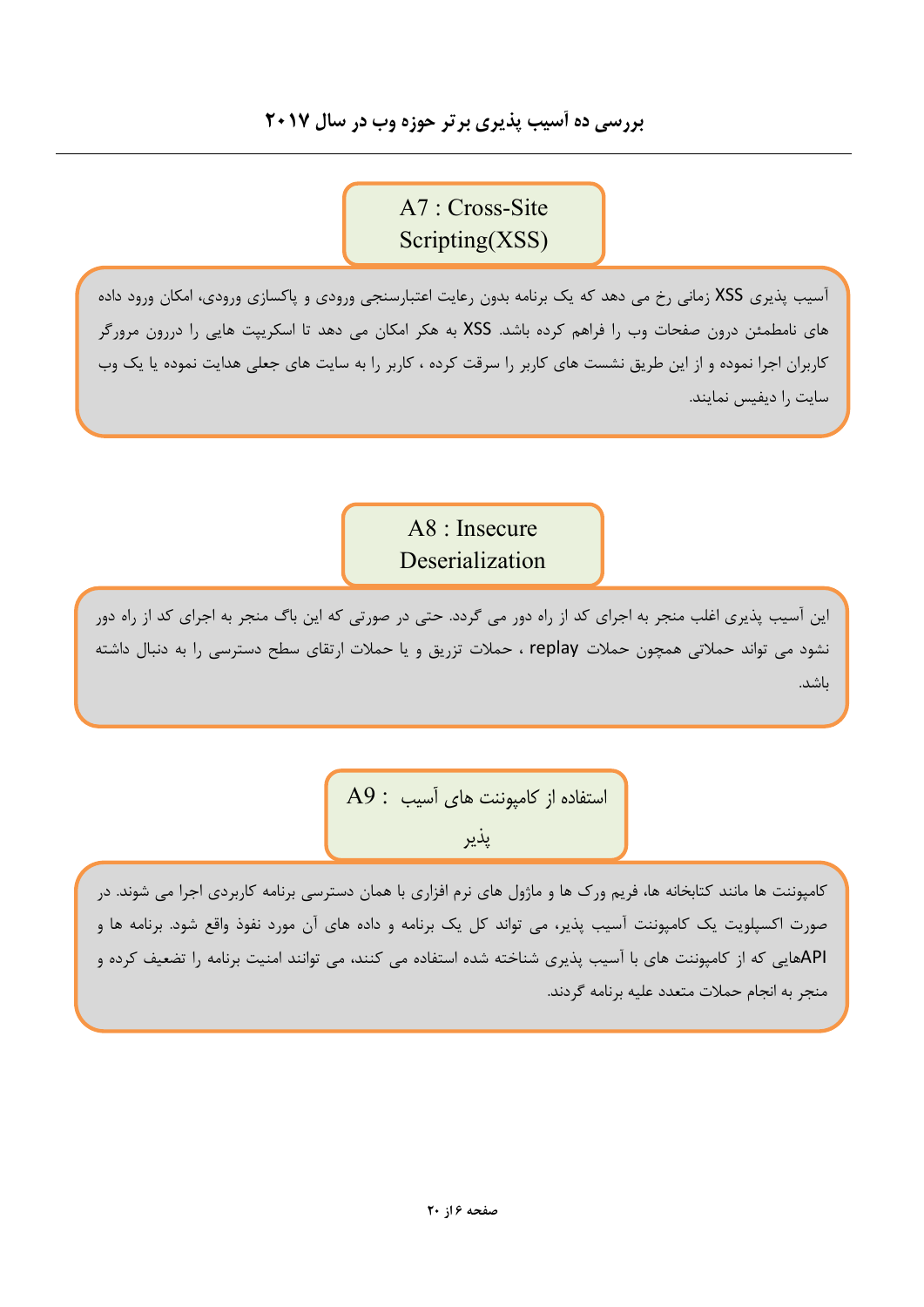## بررسی ده آسیب پذیری برتر حوزه وب در سال ۲۰۱۷

 $A7: Cross-Site$  $S$ cripting(XSS)

آسیب پذیری XSS زمانی رخ می دهد که یک برنامه بدون رعایت اعتبارسنجی ورودی و پاکسازی ورودی، امکان ورود داده های نامطمئن درون صفحات وب را فراهم کرده باشد. XSS به هکر امکان می دهد تا اسکرییت هایی را دررون مرورگر کاربران اجرا نموده و از این طریق نشست های کاربر را سرقت کرده ، کاربر را به سایت های جعلی هدایت نموده یا یک وب سایت را دیفیس نمایند.

> A8 : Insecure Deserialization

این آسیب پذیری اغلب منجر به اجرای کد از راه دور می گردد. حتی در صورتی که این باگ منجر به اجرای کد از راه دور نشود می تواند حملاتی همچون حملات replay ، حملات تزریق و یا حملات ارتقای سطح دسترسی را به دنبال داشته باشد.

> A9 : استفاده از كامپوننت هاى آسيب پذير

کامپوننت ها مانند کتابخانه ها، فریم ورک ها و ماژول های نرم افزاری با همان دسترسی برنامه کاربردی اجرا می شوند. در صورت اکسپلویت یک کامپوننت آسیب پذیر، می تواند کل یک برنامه و داده های آن مورد نفوذ واقع شود. برنامه ها و APIهایی که از کامپوننت های با آسیب پذیری شناخته شده استفاده می کنند، می توانند امنیت برنامه را تضعیف کرده و منجر به انجام حملات متعدد عليه برنامه گردند.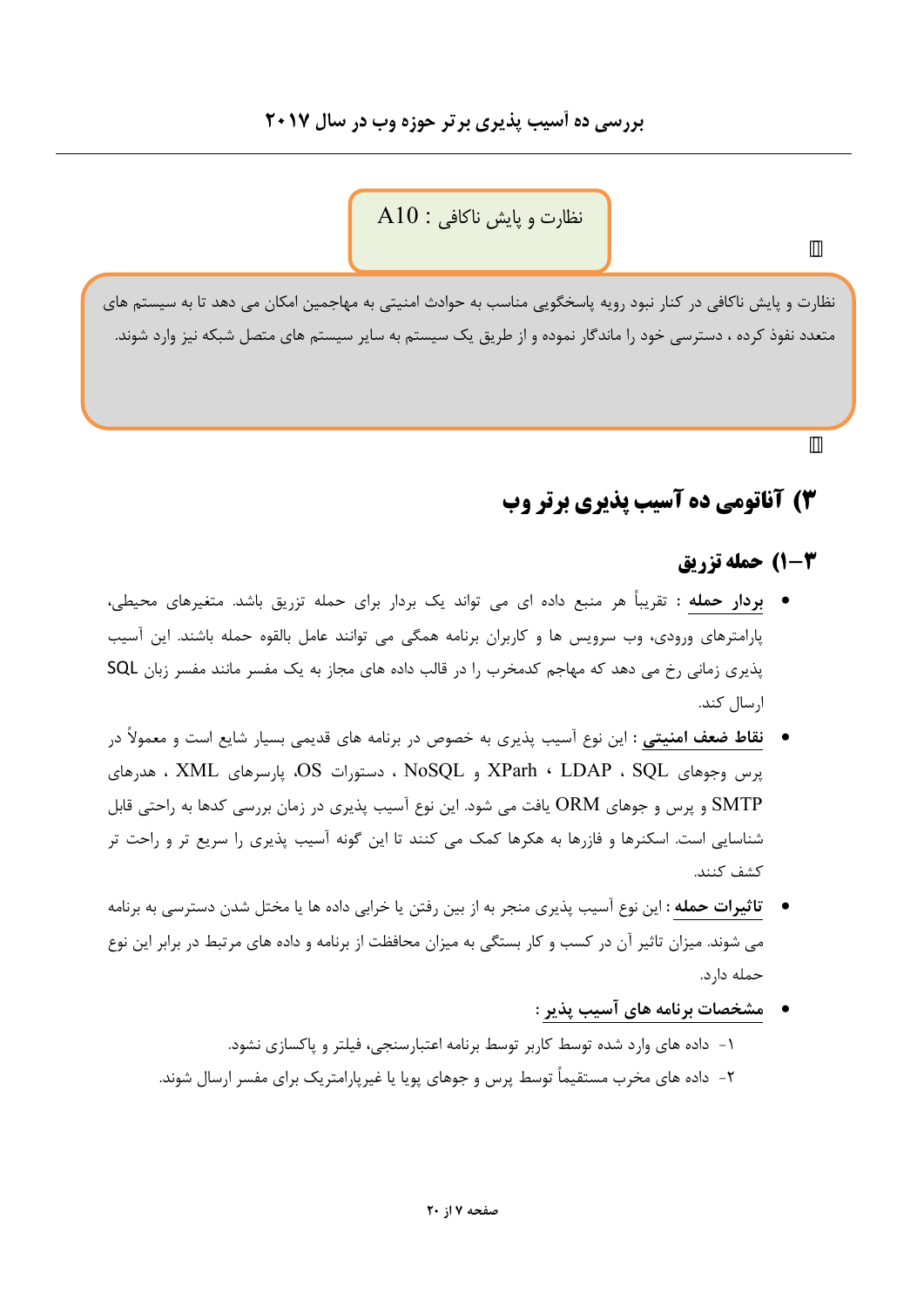نظارت و پایش ناکافی : A10

نظارت و پایش ناکافی در کنار نبود رویه پاسخگویی مناسب به حوادث امنیتی به مهاجمین امکان می دهد تا به سیستم های متعدد نفوذ کرده ، دسترسی خود را ماندگار نموده و از طریق یک سیستم به سایر سیستم های متصل شبکه نیز وارد شوند.

# 3) آناتومي ده آسب پذيري برتر وب

## **3-1) حمله تزريق**

- بردار حمله : تقریباً هر منبع داده ای می تواند یک بردار برای حمله تزریق باشد. متغیرهای محیطی، پارامترهای ورودی، وب سرویس ها و کاربران برنامه همگی می توانند عامل بالقوه حمله باشند. این آسیب یذیری زمانی رخ می دهد که مهاجم کدمخرب را در قالب داده های مجاز به یک مفسر مانند مفسر زبان SQL ارسال كند.
- **ـ نقاط ضعف امنیتی :** این نوع آسیب پذیری به خصوص در برنامه های قدیمی بسیار شایع است و معمولاً در پرس وجوهای XParh ، LDAP ، SQL و NoSQL ، دستورات OS. پارسرهای XML ، هدرهای SMTP و پرس و جوهای ORM یافت می شود. این نوع آسیب پذیری در زمان بررسی کدها به راحتی قابل شناسایی است. اسکنرها و فازرها به هکرها کمک می کنند تا این گونه آسیب پذیری را سریع تر و راحت تر كشف كنند.
- ت**اثیرات حمله :** این نوع آسیب پذیری منجر به از بین رفتن یا خرابی داده ها یا مختل شدن دسترسی به برنامه می شوند. میزان تاثیر آن در کسب و کار بستگی به میزان محافظت از برنامه و داده های مرتبط در برابر این نوع حمله دارد.
	- مشخصات برنامه های آسیب پذیر :
	- ۱- داده های وارد شده توسط کاربر توسط برنامه اعتبارسنجی، فیلتر و پاکسازی نشود.
	- ۲– داده های مخرب مستقیماً توسط پرس و جوهای پویا یا غیرپارامتریک برای مفسر ارسال شوند.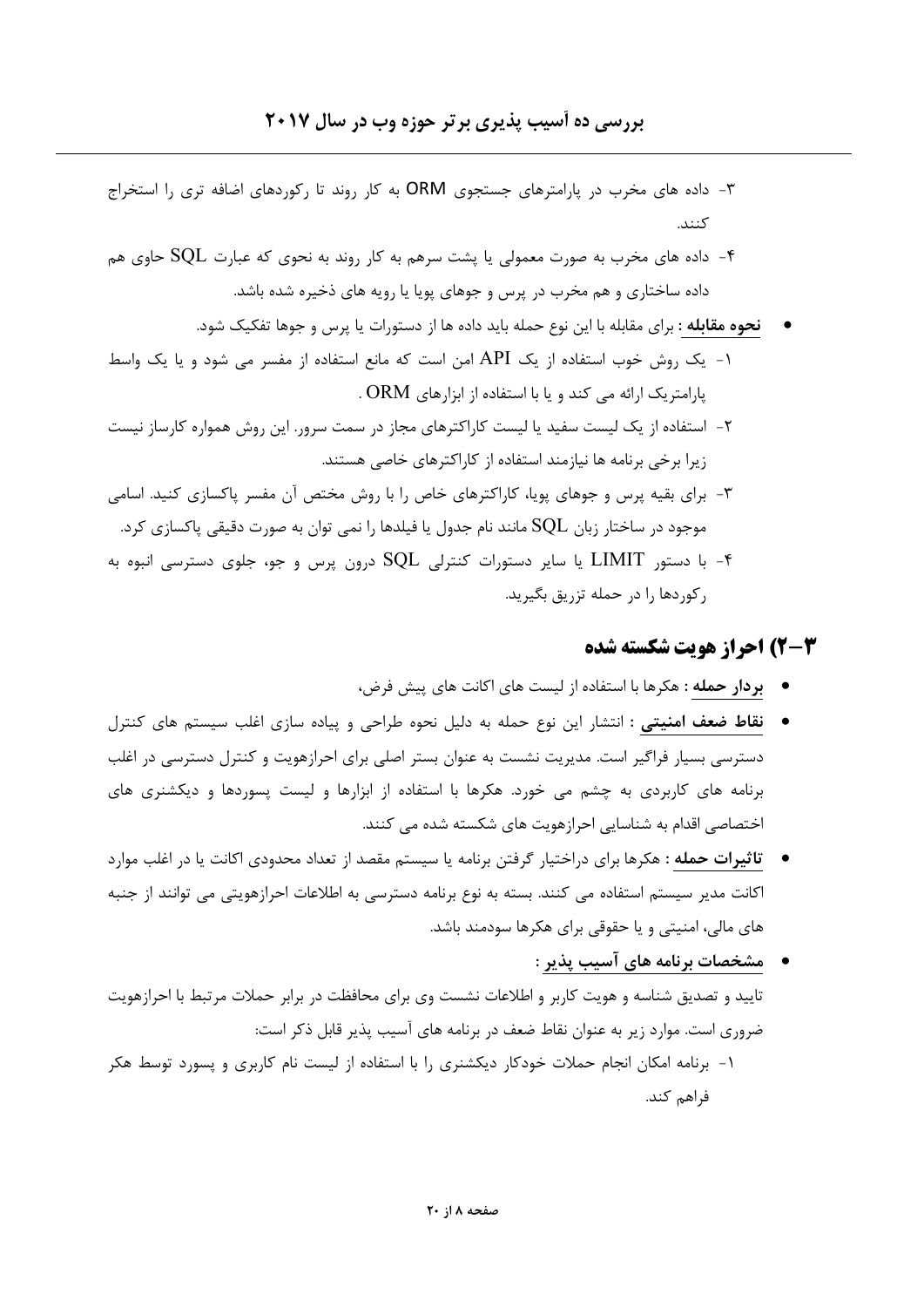- ۳- داده های مخرب در پارامترهای جستجوی ORM به کار روند تا رکوردهای اضافه تری را استخراج كنند.
- ۰۴ داده های مخرب به صورت معمولی یا پشت سرهم به کار روند به نحوی که عبارت  $\rm SQL$  حاوی هم داده ساختاری و هم مخرب در پرس و جوهای پویا یا رویه های ذخیره شده باشد.
	- **نحوه مقابله** : برای مقابله با این نوع حمله باید داده ها از دستورات یا پرس و جوها تفکیک شود.
- ۱- یک روش خوب استفاده از یک API امن است که مانع استفاده از مفسر می شود و یا یک واسط پارامتریک ارائه می کند و یا با استفاده از ابزارهای ORM .
- ۲- استفاده از یک لیست سفید یا لیست کاراکترهای مجاز در سمت سرور. این روش همواره کارساز نیست زیرا برخی برنامه ها نیازمند استفاده از کاراکترهای خاصی هستند.
- ۳- برای بقیه پرس و جوهای پویا، کاراکترهای خاص را با روش مختص آن مفسر پاکسازی کنید. اسامی موجود در ساختار زبان  $\rm SQL$  مانند نام جدول یا فیلدها را نمی توان به صورت دقیقی پاکسازی کرد.
- ۰۴ با دستور LIMIT یا سایر دستورات کنترلی  $\rm{SQL}$  درون پرس و جو، جلوی دسترسی انبوه به $\bullet$ رکوردها را در حمله تزریق بگیرید.

#### 2-3) احراز هويت شكسته شده

- بردار حمله : هكرها با استفاده از ليست هاى اكانت هاى پيش فرض،
- فقاط ضعف امنیتی : انتشار این نوع حمله به دلیل نحوه طراحی و پیاده سازی اغلب سیستم های کنترل دسترسی بسیار فراگیر است. مدیریت نشست به عنوان بستر اصلی برای احرازهویت و کنترل دسترسی در اغلب برنامه های کاربردی به چشم می خورد. هکرها با استفاده از ابزارها و لیست پسوردها و دیکشنری های اختصاصی اقدام به شناسایی احرازهویت های شکسته شده می کنند.
- ت**اثیرات حمله** : هکرها برای دراختیار گرفتن برنامه یا سیستم مقصد از تعداد محدودی اکانت یا در اغلب موارد اکانت مدیر سیستم استفاده می کنند. بسته به نوع برنامه دسترسی به اطلاعات احرازهویتی می توانند از جنبه های مالی، امنیتی و یا حقوقی برای هکرها سودمند باشد.
- مشخصات برنامه های آسیب پذیر : تایید و تصدیق شناسه و هویت کاربر و اطلاعات نشست وی برای محافظت در برابر حملات مرتبط با احرازهویت ضروری است. موارد زیر به عنوان نقاط ضعف در برنامه های آسیب پذیر قابل ذکر است: ۱- برنامه امکان انجام حملات خودکار دیکشنری را با استفاده از لیست نام کاربری و پسورد توسط هکر فراهم کند.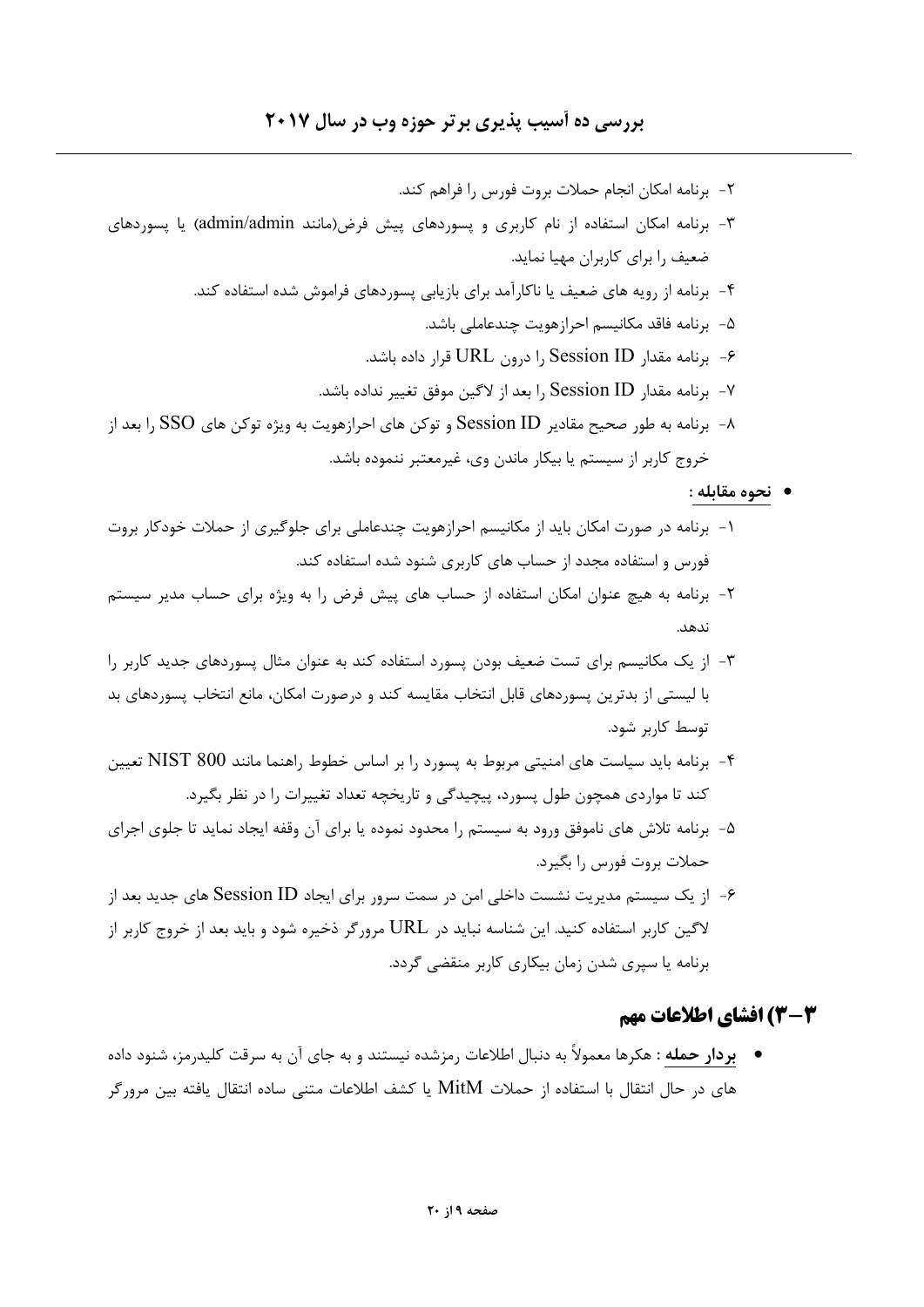### بررسی ده آسیب پذیری بر تر حوزه وب در سال ۲۰۱۷

٢- برنامه امكان انجام حملات بروت فورس را فراهم كند. ۳- برنامه امکان استفاده از نام کاربری و پسوردهای پیش فرض(مانند admin/admin) یا پسوردهای ضعیف را برای کاربران مهیا نماید. ۴- برنامه از رویه های ضعیف یا ناکارآمد برای بازیابی پسوردهای فراموش شده استفاده کند. ۵- برنامه فاقد مكانيسم احرازهويت چندعاملي باشد. ۶- برنامه مقدار Session ID ,ا درون URL قرار داده باشد. ۷- برنامه مقدار Session ID ,ا بعد از لاگین موفق تغییر نداده باشد. ۸- برنامه به طور صحیح مقادیر Session ID و توکن های احرازهویت به ویژه توکن های SSO را بعد از خروج کاربر از سیستم یا بیکار ماندن وی، غیرمعتبر ننموده باشد.

#### • نحوه مقابله :

- ۱- برنامه در صورت امکان باید از مکانیسم احرازهویت چندعاملی برای جلوگیری از حملات خودکار بروت فورس و استفاده مجدد از حساب های کاربری شنود شده استفاده کند.
- ۲- برنامه به هیچ عنوان امکان استفاده از حساب های پیش فرض را به ویژه برای حساب مدیر سیستم
- ۳- از یک مکانیسم برای تست ضعیف بودن پسورد استفاده کند به عنوان مثال پسوردهای جدید کاربر را با لیستی از بدترین پسوردهای قابل انتخاب مقایسه کند و درصورت امکان، مانع انتخاب پسوردهای بد توسط کاربر شود.
- ۴- برنامه باید سیاست های امنیتی مربوط به پسورد ۱٫ بر اساس خطوط راهنما مانند NIST 800 تعیین کند تا مواردی همچون طول پسورد، پیچیدگی و تاریخچه تعداد تغییرات را در نظر بگیرد.
- ۵– برنامه تلاش های ناموفق ورود به سیستم را محدود نموده یا برای آن وقفه ایجاد نماید تا جلوی اجرای حملات بروت فورس را بگیرد.
- ۶- از یک سیستم مدیریت نشست داخلی امن در سمت سرور برای ایجاد Session ID های جدید بعد از لاگین کاربر استفاده کنید. این شناسه نباید در URL مرورگر ذخیره شود و باید بعد از خروج کاربر از برنامه یا سپری شدن زمان بیکاری کاربر منقضی گردد.

### 3-3) افشای اطلاعات مهم

● **بردار حمله :** هكرها معمولاً به دنبال اطلاعات رمزشده نيستند و به جاي آن به سرقت كليدرمز، شنود داده های در حال انتقال با استفاده از حملات MitM یا کشف اطلاعات متنی ساده انتقال یافته بین مرورگر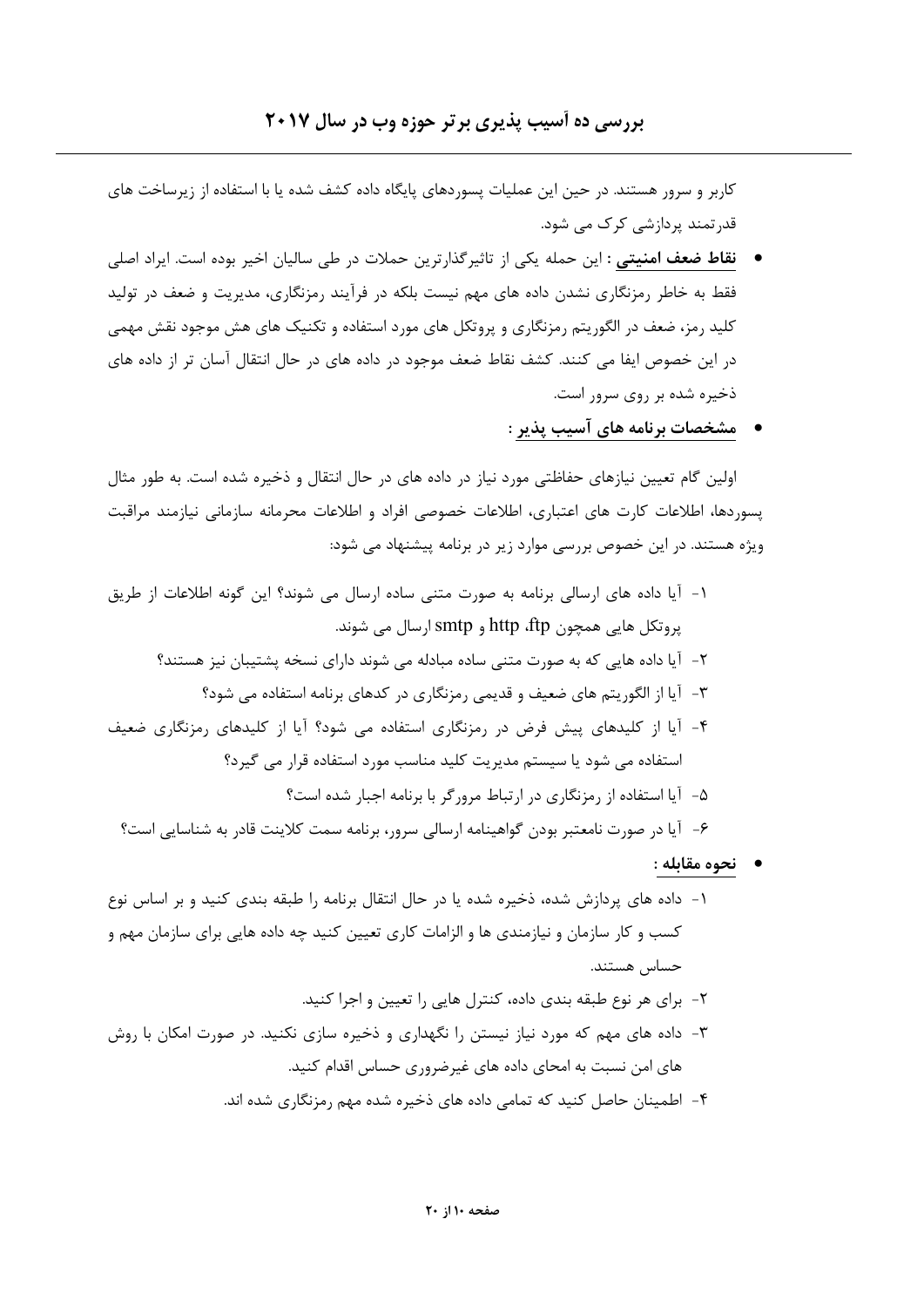کاربر و سرور هستند. در حین این عملیات پسوردهای پایگاه داده کشف شده یا با استفاده از زیرساخت های قدر تمند پردازشی کرک می شود.

- نقاط ضعف امنیتی : این حمله یکی از تاثیرگذارترین حملات در طی سالیان اخیر بوده است. ایراد اصلی فقط به خاطر رمزنگاری نشدن داده های مهم نیست بلکه در فرآیند رمزنگاری، مدیریت و ضعف در تولید کلید رمز، ضعف در الگوریتم رمزنگاری و پروتکل های مورد استفاده و تکنیک های هش موجود نقش مهمی در این خصوص ایفا می کنند. کشف نقاط ضعف موجود در داده های در حال انتقال آسان تر از داده های ذخیره شده بر روی سرور است.
	- مشخصات برنامه های آسیب پذیر :

اولین گام تعیین نیازهای حفاظتی مورد نیاز در داده های در حال انتقال و ذخیره شده است. به طور مثال یسوردها، اطلاعات کارت های اعتباری، اطلاعات خصوصی افراد و اطلاعات محرمانه سازمانی نیازمند مراقبت ویژه هستند. در این خصوص بررسی موارد زیر در برنامه پیشنهاد می شود:

- ١- آيا داده هاي ارسالي برنامه به صورت متني ساده ارسال مي شوند؟ اين گونه اطلاعات از طريق پروتکل هایی همچون http ،ftp و smtp ارسال می شوند. ۲- آیا داده هایی که به صورت متنی ساده مبادله می شوند دارای نسخه پشتیبان نیز هستند؟ ۳- آیا از الگوریتم های ضعیف و قدیمی رمزنگاری در کدهای برنامه استفاده می شود؟ ۴- آیا از کلیدهای پیش فرض در رمزنگاری استفاده می شود؟ آیا از کلیدهای رمزنگاری ضعیف استفاده می شود یا سیستم مدیریت کلید مناسب مورد استفاده قرار می گیرد؟ ۵- آیا استفاده از رمزنگاری در ارتباط مرورگر با برنامه اجبار شده است؟ ۶- آیا در صورت نامعتبر بودن گواهینامه ارسالی سرور، برنامه سمت کلاینت قادر به شناسایی است؟
	- نحوه مقابله :
- ۱– داده های پردازش شده، ذخیره شده یا در حال انتقال برنامه را طبقه بندی کنید و بر اساس نوع کسب و کار سازمان و نیازمندی ها و الزامات کاری تعیین کنید چه داده هایی برای سازمان مهم و حساس هستند.
	- ٢- برای هر نوع طبقه بندی داده، کنترل هایی را تعیین و اجرا کنید.
- ۳- داده های مهم که مورد نیاز نیستن را نگهداری و ذخیره سازی نکنید. در صورت امکان با روش های امن نسبت به امحای داده های غیرضروری حساس اقدام کنید.
	- ۴- اطمینان حاصل کنید که تمامی داده های ذخیره شده مهم رمزنگاری شده اند.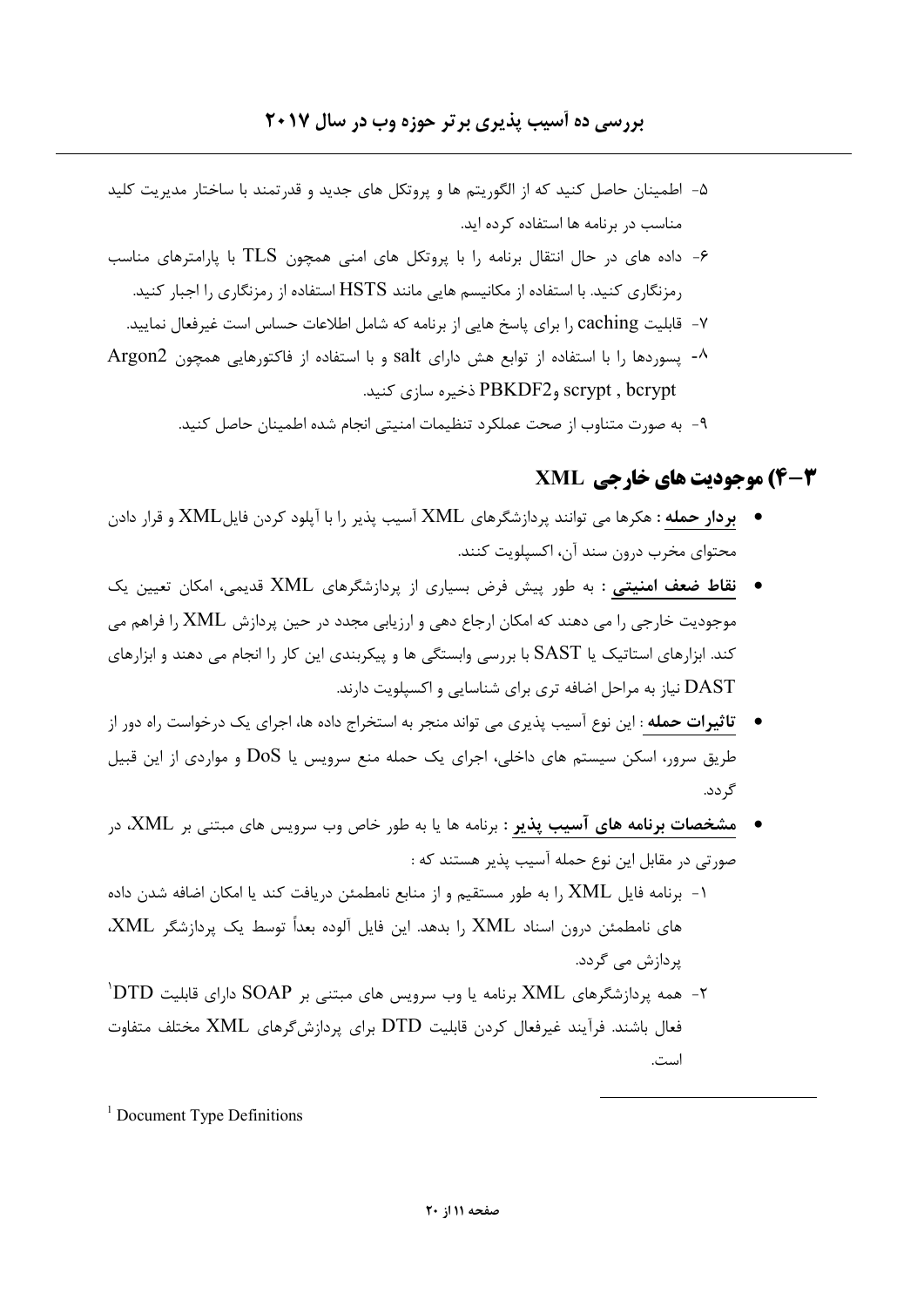- ۵– اطمینان حاصل کنید که از الگوریتم ها و پروتکل های جدید و قدرتمند با ساختار مدیریت کلید مناسب در برنامه ها استفاده کرده اید.
- داده های در حال انتقال برنامه را با پروتکل های امنی همچون TLS با پارامترهای مناسب $\cdot$ رمزنگاری کنید. با استفاده از مکانیسم هایی مانند HSTS استفاده از رمزنگاری را اجبار کنید.
	- ۷- قابلیت caching را برای پاسخ هایی از برنامه که شامل اطلاعات حساس است غیرفعال نمایید.
- ^- يسوردها را با استفاده از توابع هش دارای salt و با استفاده از فاكتورهايي همچون Argon2 scrypt , bcrypt وPBKDF2 ذخیره سازی کنید.
	- ٩- به صورت متناوب از صحت عملكرد تنظيمات امنيتي انجام شده اطمينان حاصل كنيد.

## **4-3) موحودت های خارجی XML**

- بردار حمله : هكرها می توانند پردازشگرهای XML آسیب پذیر را با آیلود كردن فایلXML و قرار دادن محتواي مخرب درون سند آن، اکسیلویت کنند.
- نقاط ضعف امنیتی : به طور پیش فرض بسیاری از پردازشگرهای XML قدیمی، امکان تعیین یک موجودیت خارجی را می دهند که امکان ارجاع دهی و ارزیابی مجدد در حین پردازش XML را فراهم می کند. ابزارهای استاتیک یا SAST با بررسی وابستگی ها و پیکربندی این کار را انجام می دهند و ابزارهای DAST نیاز به مراحل اضافه تری برای شناسایی و اکسیلویت دارند.
- **تاثیرات حمله** : این نوع آسیب پذیری می تواند منجر به استخراج داده ها، اجرای یک درخواست راه دور از طریق سرور، اسکن سیستم های داخلی، اجرای یک حمله منع سرویس یا DoS و مواردی از این قبیل گ دد.
- مشخصات برنامه های آسیب پذیر : برنامه ها یا به طور خاص وب سرویس های مبتنی بر XML، در صورتي در مقابل اين نوع حمله آسيب پذير هستند كه :
- ۱- برنامه فایل XML را به طور مستقیم و از منابع نامطمئن دریافت کند یا امکان اضافه شدن داده های نامطمئن درون اسناد XML را بدهد. این فایل آلوده بعداً توسط یک پردازشگر XML، یردازش مے گردد.
- <sup>۲</sup>– همه پردازشگرهای XML برنامه یا وب سرویس های مبتنی بر SOAP دارای قابلیت DTD<sup>'</sup> فعال باشند. فرآیند غیرفعال کردن قابلیت DTD برای پردازش گرهای XML مختلف متفاوت است.

 $1$  Document Type Definitions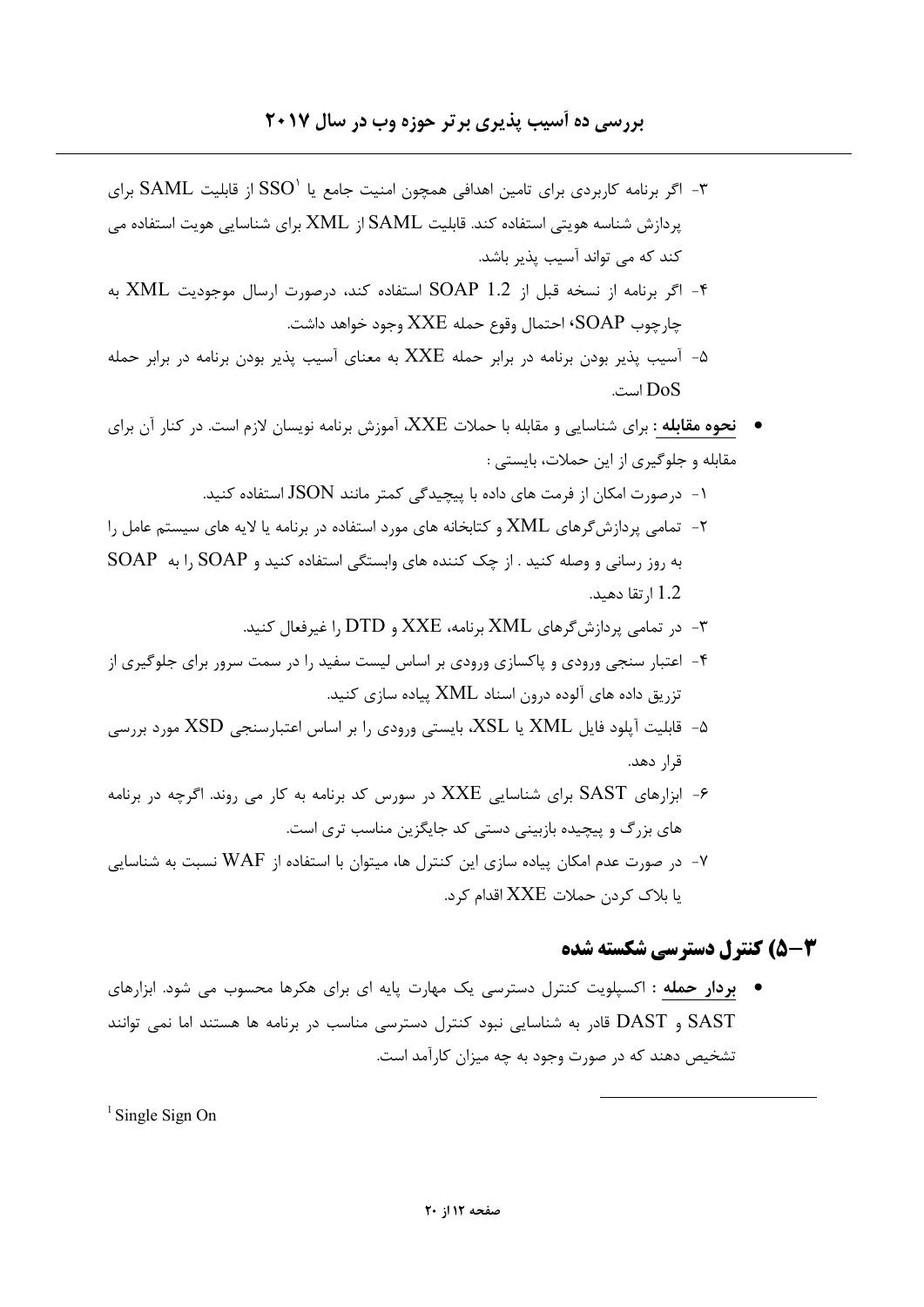### بررسی ده آسیب پذیری بر تر حوزه وب در سال ۲۰۱۷

- ۳- اگر برنامه کاربردی برای تامین اهدافی همچون امنیت جامع یا  $\mathrm{SSO}^\backprime$  از قابلیت  $\mathrm{SAML}$  برای یردازش شناسه هویتی استفاده کند. قابلیت SAML از XML برای شناسایی هویت استفاده می کند که می تواند آسیب پذیر باشد.
- ۴- اگر برنامه از نسخه قبل از SOAP 1.2 استفاده کند، درصورت ارسال موجودیت XML به چارچوب SOAP' احتمال وقوع حمله XXE وجود خواهد داشت.
- آسیب یذیر بودن برنامه در برابر حمله XXE به معنای آسیب یذیر بودن برنامه در برابر حمله است.  $DoS$
- نحوه مقابله : برای شناسایی و مقابله با حملات XXE، آموزش برنامه نویسان لازم است. در کنار آن برای مقابله و جلوگیری از این حملات، بایستی :
	- ۱- درصورت امکان از فرمت های داده با پیچیدگی کمتر مانند JSON استفاده کنید.
- ۲- تمامی پردازش گرهای XML و کتابخانه های مورد استفاده در برنامه یا لایه های سیستم عامل را به روز رسانی و وصله کنید . از چک کننده های وابستگی استفاده کنید و SOAP را به SOAP 1.2 ا, تقا دهيد.
	- در تمامی یردازش گرهای XML برنامه، XXE و DTD را غیرفعال کنید.
- ۴- اعتبار سنجی ورودی و پاکسازی ورودی بر اساس لیست سفید را در سمت سرور برای جلوگیری از تزریق داده های آلوده درون اسناد XML پیاده سازی کنید.
- ۵- قابلیت آپلود فایل XML یا XSL، بایستی ورودی را بر اساس اعتبارسنجی XSD مورد بررسی قرا, دهد.
- ابزارهای SAST برای شناسایی XXE در سورس کد برنامه به کار می روند. اگرچه در برنامه $\cdot$ های بزرگ و پیچیده بازبینی دستی کد جایگزین مناسب تری است.
- در صورت عدم امکان پیاده سازی این کنترل ها، میتوان با استفاده از WAF نسبت به شناسایی یا بلاک کردن حملات XXE اقدام کرد.

### **3-3) کنترل دسترسی شکسته شده**

• بردار حمله : اکسپلویت کنترل دسترسی یک مهارت پایه ای برای هکرها محسوب می شود. ابزارهای SAST و DAST قادر به شناسایی نبود کنترل دسترسی مناسب در برنامه ها هستند اما نمی توانند تشخیص دهند که در صورت وجود به چه میزان کارآمد است.

 $\frac{1}{2}$ Single Sign On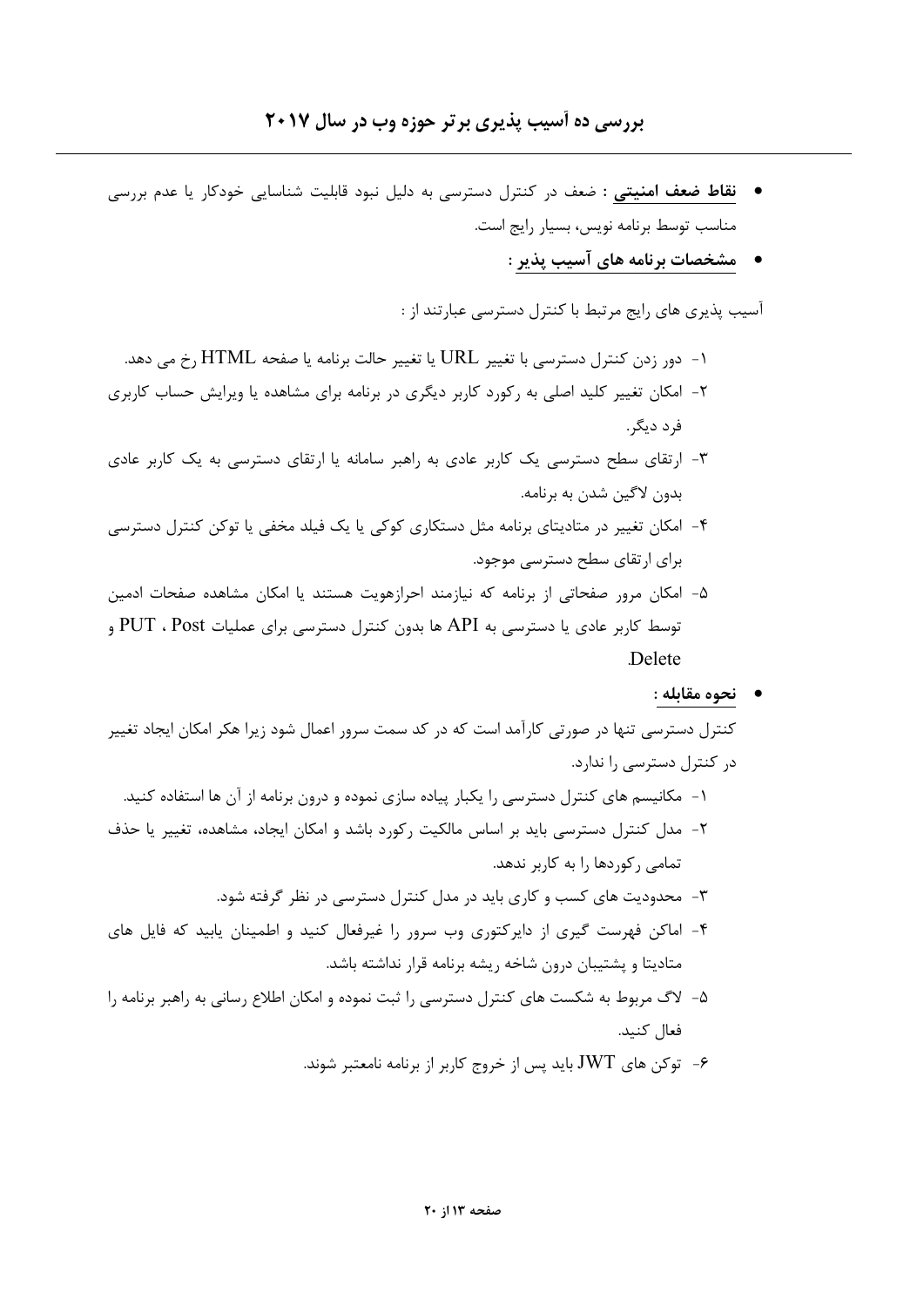- نقاط ضعف امنیتی : ضعف در کنترل دسترسی به دلیل نبود قابلیت شناسایی خودکار یا عدم بررسی مناسب توسط برنامه نويس، بسيار رايج است.
	- مشخصات برنامه های آسیب پذیر :

آسیب پذیری های رایج مرتبط با کنترل دسترسی عبارتند از :

- ۱- دور زدن کنترل دسترسی با تغییر URL یا تغییر حالت برنامه یا صفحه HTML رخ می دهد. ۲- امکان تغییر کلید اصلی به رکورد کاربر دیگری در برنامه برای مشاهده یا ویرایش حساب کاربری فرد دیگر.
- ۳- ارتقای سطح دسترسی یک کاربر عادی به راهبر سامانه یا ارتقای دسترسی به یک کاربر عادی بدون لاگین شدن به برنامه.
- ۴- امکان تغییر در متادیتای برنامه مثل دستکاری کوکی یا یک فیلد مخفی یا توکن کنترل دسترسی برای ارتقای سطح دسترسی موجود.
- ۵- امکان مرور صفحاتی از برنامه که نیازمند احرازهویت هستند یا امکان مشاهده صفحات ادمین بوسط کاربر عادی یا دسترسی به API ها بدون کنترل دسترسی برای عملیات PUT ، Post و Delete
	- نحوه مقابله :

کنترل دسترسی تنها در صورتی کارآمد است که در کد سمت سرور اعمال شود زیرا هکر امکان ایجاد تغییر در کنترل دسترسی را ندارد. ۱- مکانیسم های کنترل دسترسی را یکبار پیاده سازی نموده و درون برنامه از آن ها استفاده کنید. ۲- مدل کنترل دسترسی باید بر اساس مالکیت رکورد باشد و امکان ایجاد، مشاهده، تغییر یا حذف تمامی رکوردها را به کاربر ندهد. ۳- محدودیت های کسب و کاری باید در مدل کنترل دسترسی در نظر گرفته شود. ۴- اماکن فهرست گیری از دایرکتوری وب سرور را غیرفعال کنید و اطمینان یابید که فایل های

- متاديتا و پشتيبان درون شاخه ريشه برنامه قرار نداشته باشد.
- ۵- لاگ مربوط به شکست های کنترل دسترسی را ثبت نموده و امکان اطلاع رسانی به راهبر برنامه را فعال كنيد.
	- توکن های  $\rm{JWT}$  باید پس از خروج کاربر از برنامه نامعتبر شوند.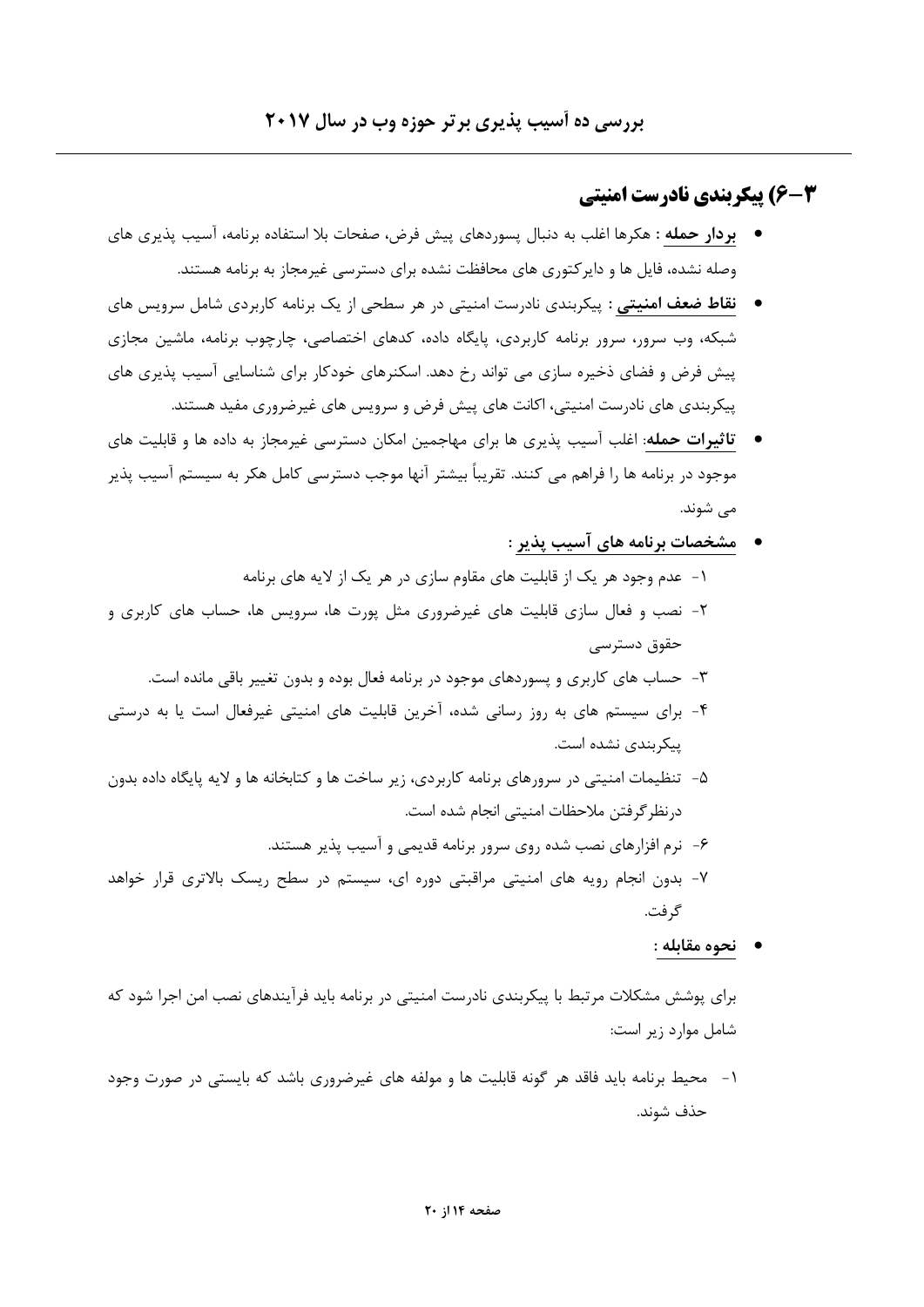# **3-4) تیکریندی نادرست امنیتی**

- **بردار حمله :** هكرها اغلب به دنبال يسوردهاى ييش فرض، صفحات بلا استفاده برنامه، آسيب يذيري هاى وصله نشده، فایل ها و دایر کتوری های محافظت نشده برای دسترسی غیرمجاز به برنامه هستند.
- نقاط ضعف امنیتی : پیکربندی نادرست امنیتی در هر سطحی از یک برنامه کاربردی شامل سرویس های شبکه، وب سرور، سرور برنامه کاربردی، پایگاه داده، کدهای اختصاصی، چارچوب برنامه، ماشین مجازی پیش فرض و فضای ذخیره سازی می تواند رخ دهد. اسکنرهای خودکار برای شناسایی آسیب پذیری های پیکربندی های نادرست امنیتی، اکانت های پیش فرض و سرویس های غیرضروری مفید هستند.
- تاثیرات حمله: اغلب آسیب پذیری ها برای مهاجمین امکان دسترسی غیرمجاز به داده ها و قابلیت های موجود در برنامه ها را فراهم می کنند. تقریباً بیشتر آنها موجب دسترسی کامل هکر به سیستم آسیب پذیر مے شوند.
	- مشخصات برنامه های آسیب پذیر :
	- ۱– عدم وجود هر یک از قابلیت های مقاوم سازی در هر یک از لایه های برنامه
- ۲- نصب و فعال سازی قابلیت های غیرضروری مثل پورت ها، سرویس ها، حساب های کاربری و حقوق دسترسے
	- ۳– حساب های کاربری و پسوردهای موجود در برنامه فعال بوده و بدون تغییر باقی مانده است.
- ۴- برای سیستم های به روز رسانی شده، آخرین قابلیت های امنیتی غیرفعال است یا به درستی ييكرېندى نشده است.
- ۵– تنظیمات امنیتی در سرورهای برنامه کاربردی، زیر ساخت ها و کتابخانه ها و لایه پایگاه داده بدون درنظر گرفتن ملاحظات امنيتي انجام شده است.
	- ۶- نرم افزارهای نصب شده روی سرور برنامه قدیمی و آسیب پذیر هستند.
- ۷- بدون انجام رویه های امنیتی مراقبتی دوره ای، سیستم در سطح ریسک بالاتری قرار خواهد گ فت.
	- نحوه مقابله :

برای پوشش مشکلات مرتبط با پیکربندی نادرست امنیتی در برنامه باید فرآیندهای نصب امن اجرا شود که شامل موارد زیر است:

۱- محیط برنامه باید فاقد هر گونه قابلیت ها و مولفه های غیرضروری باشد که بایستی در صورت وجود حذف شوند.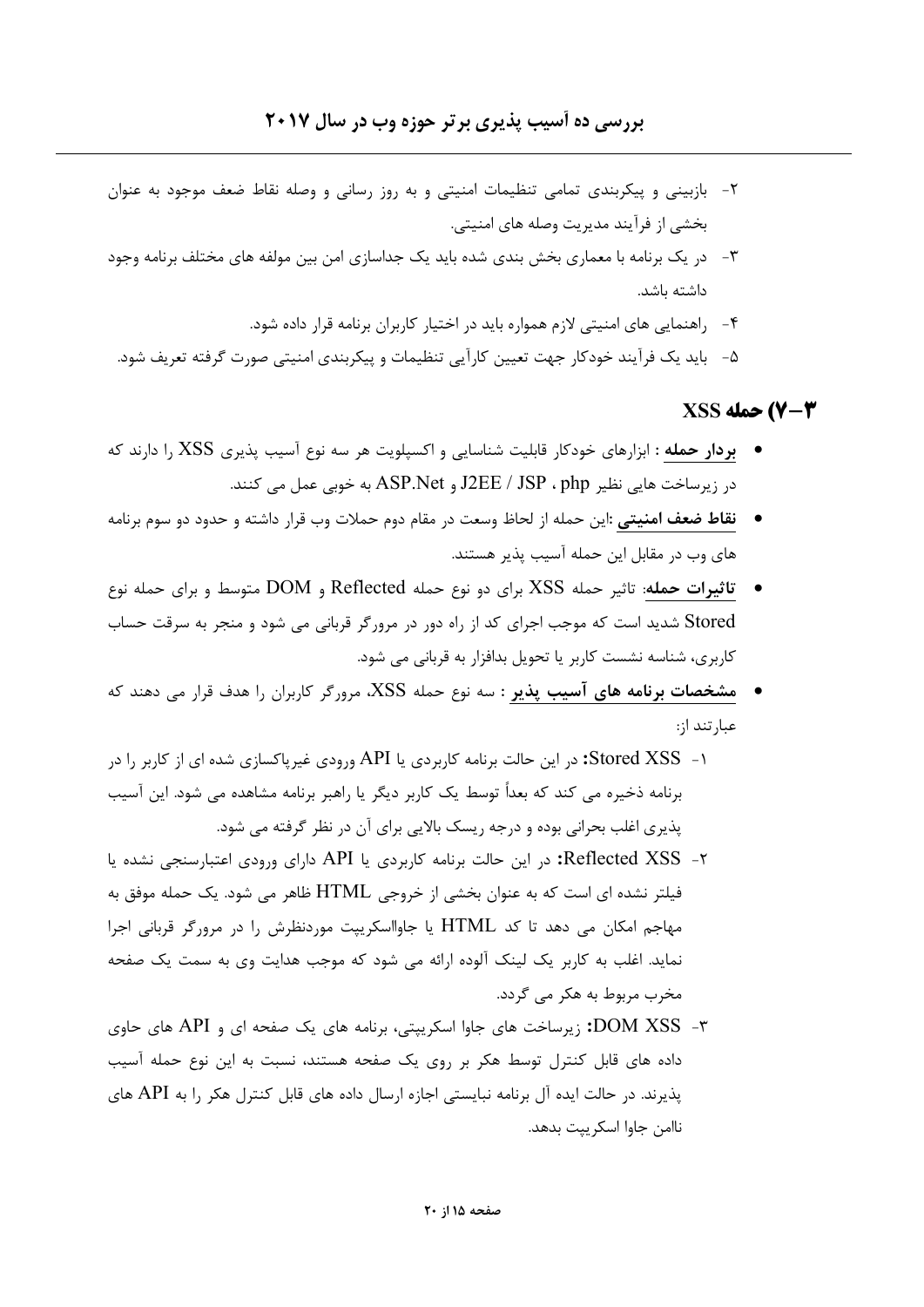- ۲- بازبینی و پیکربندی تمامی تنظیمات امنیتی و به روز رسانی و وصله نقاط ضعف موجود به عنوان بخشي از فرآيند مديريت وصله هاي امنيتي.
- ۳– در یک برنامه با معماری بخش بندی شده باید یک جداسازی امن بین مولفه های مختلف برنامه وجود داشته باشد.
	- ۴- راهنمایی های امنیتی لازم همواره باید در اختیار کاربران برنامه قرار داده شود.
- ۵–۔ باید یک فرآیند خودکار جهت تعیین کارآیی تنظیمات و پیکربندی امنیتی صورت گرفته تعریف شود.

### **2-7) حمله XSS**

- بردار حمله : ابزارهای خودکار قابلیت شناسایی و اکسپلویت هر سه نوع آسیب پذیری XSS را دارند که در زیرساخت هایی نظیر J2EE / JSP ، php و ASP.Net به خوبی عمل می کنند.
- **نقاط ضعف امنیتی :**این حمله از لحاظ وسعت در مقام دوم حملات وب قرار داشته و حدود دو سوم برنامه های وب در مقابل این حمله آسیب پذیر هستند.
- تاثیرات حمله: تاثیر حمله XSS برای دو نوع حمله Reflected و DOM متوسط و برای حمله نوع Stored شدید است که موجب اجرای کد از راه دور در مرورگر قربانی می شود و منجر به سرقت حساب کاربری، شناسه نشست کاربر یا تحویل بدافزار به قربانی می شود.
- مشخصات برنامه های آسیب پذیر : سه نوع حمله XSS، مرورگر کاربران را هدف قرار می دهند که عبا, تند ا;:
- ۱- Stored XSS: در این حالت برنامه کاربردی یا API ورودی غیریاکسازی شده ای از کاربر را در برنامه ذخیره می کند که بعداً توسط یک کاربر دیگر یا راهبر برنامه مشاهده می شود. این آسیب پذیری اغلب بحرانی بوده و درجه ریسک بالایی برای آن در نظر گرفته می شود.
- ۲- Reflected XSS: در این حالت برنامه کاربردی یا API دارای ورودی اعتبارسنجی نشده یا فیلتر نشده ای است که به عنوان بخشی از خروجی HTML ظاهر می شود. یک حمله موفق به مهاجم امکان می دهد تا کد HTML یا جاوااسکرییت موردنظرش را در مرورگر قربانی اجرا نماید. اغلب به کاربر یک لینک آلوده ارائه می شود که موجب هدایت وی به سمت یک صفحه مخرب مربوط به هکر مے گردد.
- ۳- DOM XSS: زیرساخت های جاوا اسکرییتی، برنامه های یک صفحه ای و API های حاوی داده های قابل کنترل توسط هکر بر روی یک صفحه هستند، نسبت به این نوع حمله آسیب یذیرند. در حالت ایده آل برنامه نبایستی اجازه ارسال داده های قابل کنترل هکر ۱٫ به API های ناامن جاوا اسكرييت بدهد.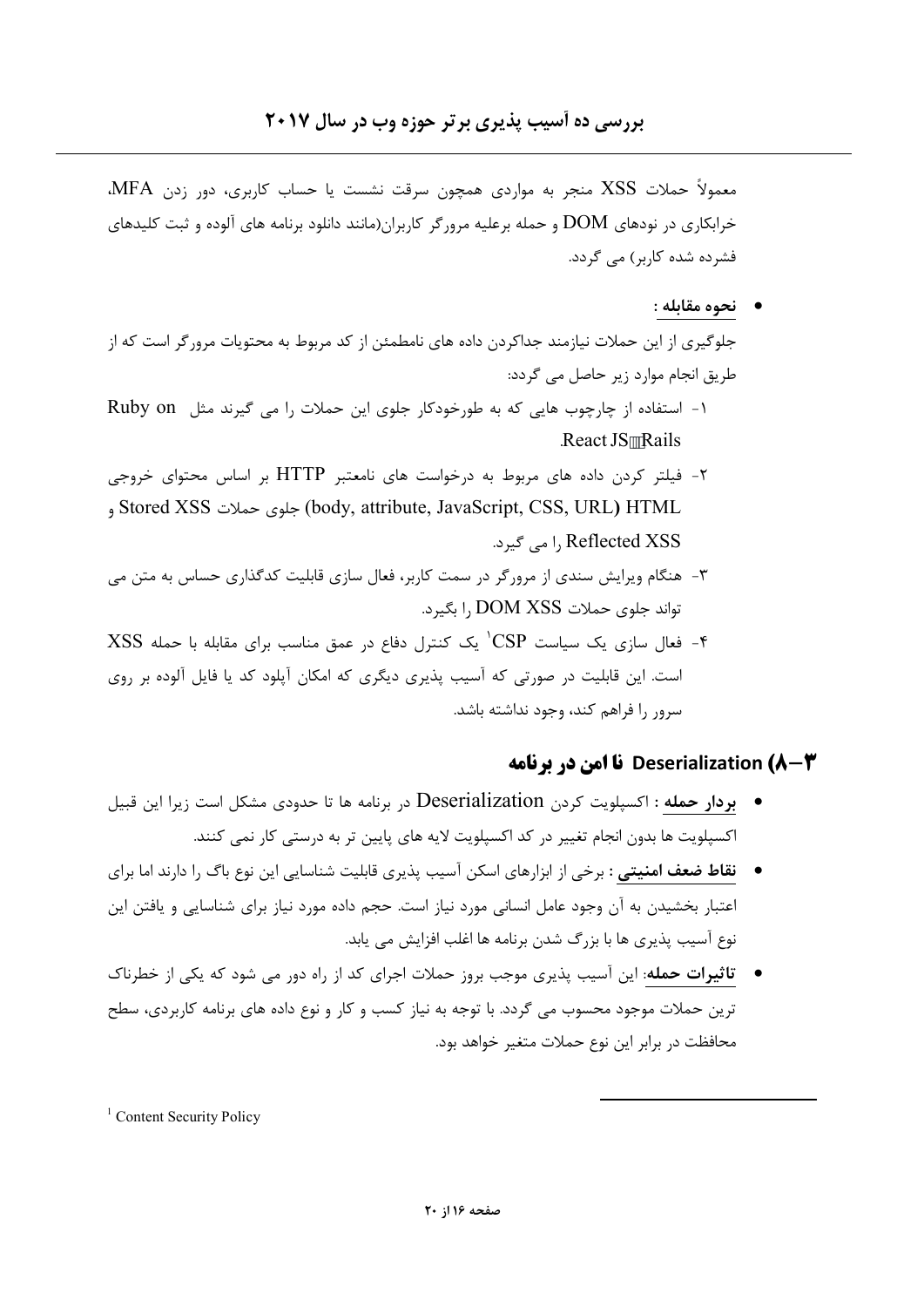معمولاً حملات XSS منجر به مواردی همچون سرقت نشست یا حساب کاربری، دور زدن MFA. خرابکاری در نودهای DOM و حمله برعلیه مرورگر کاربران(مانند دانلود برنامه های آلوده و ثبت کلیدهای فشردہ شدہ کاربر) مے گردد.

#### • نحوه مقابله :

جلوگیری از این حملات نیازمند جداکردن داده های نامطمئن از کد مربوط به محتویات مرورگر است که از طریق انجام موارد زیر حاصل می گردد:

- 1- استفاده از چارچوب هایی که به طورخودکار جلوی این حملات را می گیرند مثل Ruby on React JS Rails
- ۲- فیلتر کردن داده های مربوط به درخواست های نامعتبر HTTP بر اساس محتوای خروجی body, attribute, JavaScript, CSS, URL) HTML و Stored XSS Reflected XSS ,ا می گیرد.
- ۳- هنگام ویرایش سندی از مرورگر در سمت کاربر، فعال سازی قابلیت کدگذاری حساس به متن می تواند جلوي حملات DOM XSS ,ا بگيرد.
- XSS فعال سازی یک سیاست  $\rm CSP^{+}$ یک کنترل دفاع در عمق مناسب برای مقابله با حمله XSS است. این قابلیت در صورتی که آسیب پذیری دیگری که امکان آپلود کد یا فایل آلوده بر روی سرور را فراهم کند، وجود نداشته باشد.

#### Deserialization (۸-۳ نا امن در برنامه

- بردار حمله : اکسپلویت کردن Deserialization در برنامه ها تا حدودی مشکل است زیرا این قبیل اکسیلویت ها بدون انجام تغییر در کد اکسیلویت لایه های پایین تر به درستی کار نمی کنند.
- **نقاط ضعف امنیتی** : برخی از ابزارهای اسکن آسیب پذیری قابلیت شناسایی این نوع باگ را دارند اما برای اعتبار بخشیدن به آن وجود عامل انسانی مورد نیاز است. حجم داده مورد نیاز برای شناسایی و یافتن این نوع آسیب پذیری ها با بزرگ شدن برنامه ها اغلب افزایش می پابد.
- تاثیرات حمله: این آسیب پذیری موجب بروز حملات اجرای کد از راه دور می شود که یکی از خطرناک ترین حملات موجود محسوب می گردد. با توجه به نیاز کسب و کار و نوع داده های برنامه کاربردی، سطح محافظت در برابر این نوع حملات متغیر خواهد بود.

<sup>&</sup>lt;sup>1</sup> Content Security Policy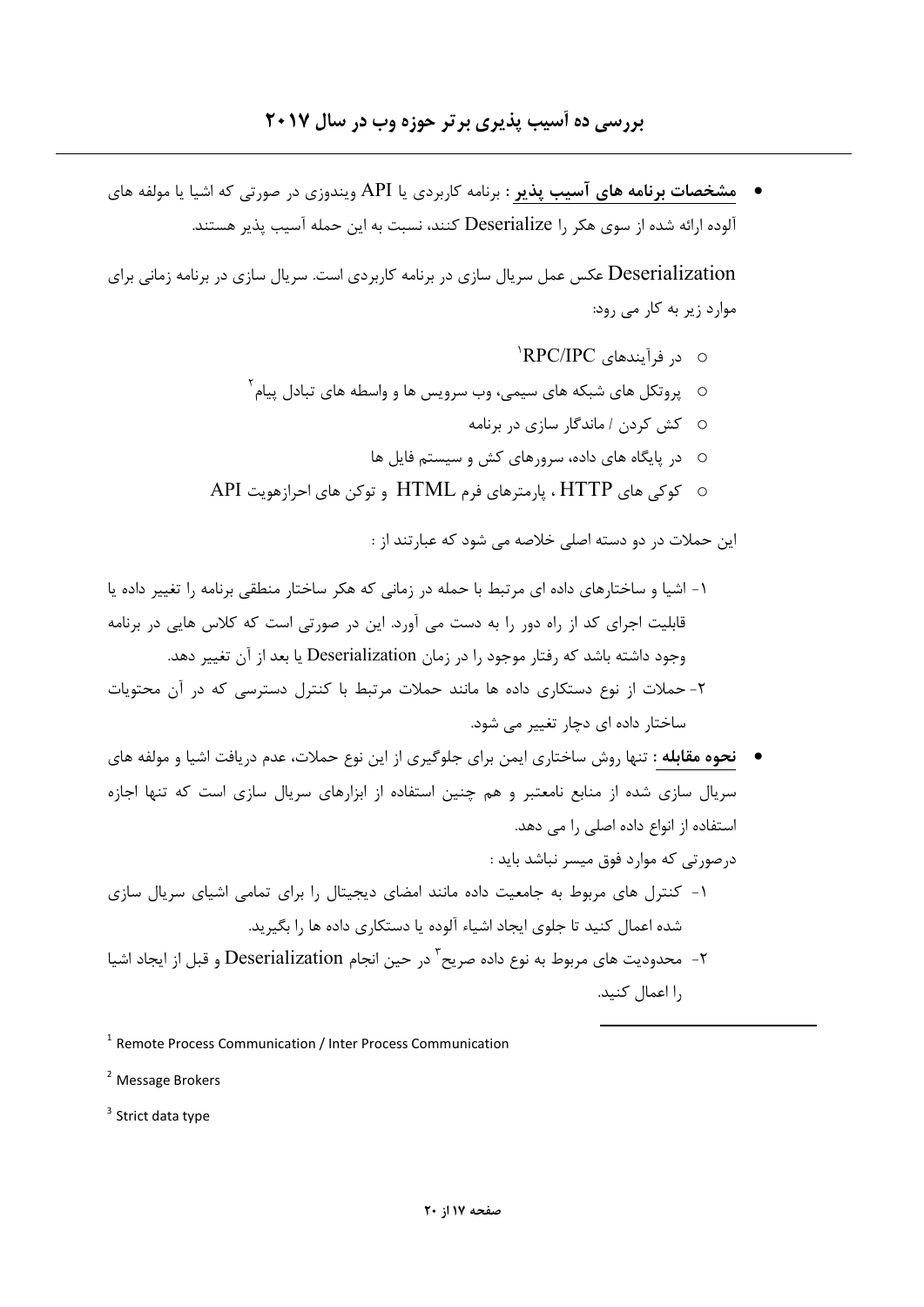• مشخصات برنامه های آسیب پذیر : برنامه کاربردی یا API ویندوزی در صورتی که اشیا یا مولفه های آلوده ارائه شده از سوی هکر ,ا Deserialize کنند، نسبت به این حمله آسیب یذیر هستند.

Deserialization عکس عمل سریال سازی در برنامه کاربردی است. سریال سازی در برنامه زمانی برای موارد زیر به کار می رود:

- o د, فرآیندهای RPC/IPC<sup>'</sup>
- $^7$ یروتکل های شبکه های سیمی، وب سرویس ها و واسطه های تبادل پیام  $^7$ 
	- 0 كش كردن / ماندگار سازى در برنامه
	- ⊙ در بایگاه های داده، سرورهای کش و سیستم فایل ها
- O کوکی های HTTP ، پارمترهای فرم HTML و توکن های احرازهویت API

این حملات در دو دسته اصل*ی خ*لاصه می شود که عبارتند از :

- ۱- اشیا و ساختارهای داده ای مرتبط با حمله در زمانی که هکر ساختار منطقی برنامه را تغییر داده یا قابلیت اجرای کد از راه دور را به دست می آورد. این در صورتی است که کلاس هایی در برنامه وجود داشته باشد که رفتار موجود را در زمان Deserialization یا بعد از آن تغییر دهد. ۲- حملات از نوع دستکاری داده ها مانند حملات مرتبط با کنترل دسترسی که در آن محتویات
- ساختار داده ای دجار تغییر مل شود.
- نحوه مقابله : تنها روش ساختاري ايمن براي جلوگيري از اين نوع حملات، عدم دريافت اشيا و مولفه هاي سریال سازی شده از منابع نامعتبر و هم چنین استفاده از ابزارهای سریال سازی است که تنها اجازه استفاده از انواع داده اصلی را می دهد.
	- درصورتی که موارد فوق میسر نباشد باید :
- ۱- کنترل های مربوط به جامعیت داده مانند امضای دیجیتال را برای تمامی اشیای سریال سازی شده اعمال کنید تا جلوی ایجاد اشیاء آلوده یا دستکاری داده ها را یگیرید.
- ۲- محدودیت های مربوط به نوع داده صریح<sup>۲</sup> در حین انجام Deserialization و قبل از ایجاد اشیا ,ا اعمال كنيد.

<sup>2</sup> Message Brokers

 $3$  Strict data type

<sup>&</sup>lt;sup>1</sup> Remote Process Communication / Inter Process Communication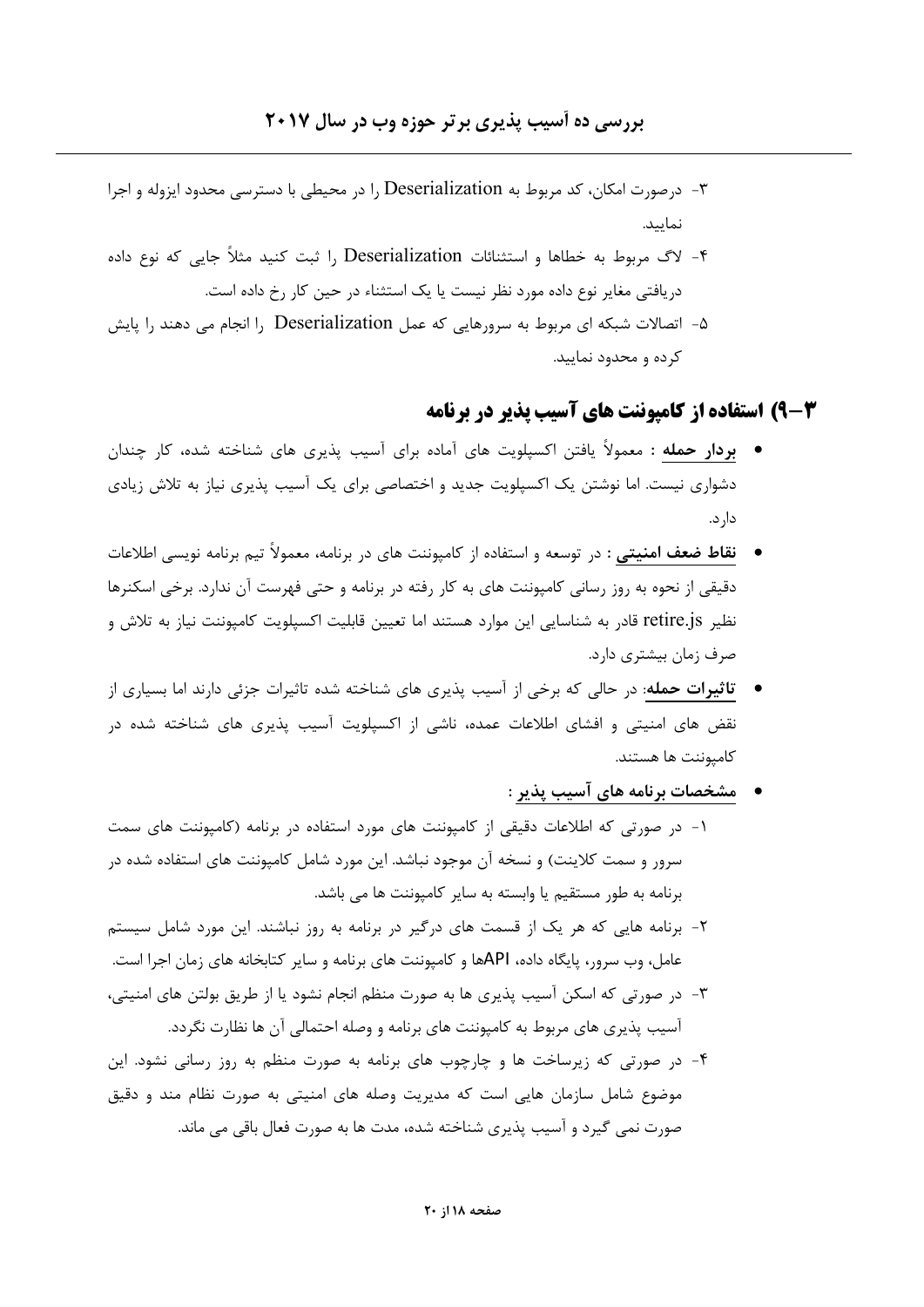- ۳- درصورت امکان، کد مربوط به Deserialization را در محیطی با دسترسی محدود ایزوله و اجرا نماييد.
- ۴- لاگ مربوط به خطاها و استثنائات Deserialization ,ا ثبت کنید مثلاً جایی که نوع داده دریافتی مغایر نوع داده مورد نظر نیست یا یک استثناء در حین کار رخ داده است.
- ۵- اتصالات شبکه ای مربوط به سرورهایی که عمل Deserialization را انجام می دهند را پایش کرده و محدود نمایید.

#### **۳-9) استفاده از کامیوننت های آسیب پذیر در برنامه**

- **بردار حمله : مع**مولاً یافتن اکسپلویت های آماده برای آسیب پذیری های شناخته شده، کار چندان دشواری نیست. اما نوشتن یک اکسپلویت جدید و اختصاصی برای یک آسیب پذیری نیاز به تلاش زیادی دا, د.
- نقاط ضعف امنیتی : در توسعه و استفاده از کامپوننت های در برنامه، معمولاً تیم برنامه نویسی اطلاعات دقیقی از نحوه به روز رسانی کامپوننت های به کار رفته در برنامه و حتی فهرست آن ندارد. برخی اسکنرها نظیر retire.js قادر به شناسایی این موارد هستند اما تعیین قابلیت اکسپلویت کامیوننت نیاز به تلاش و صرف زمان بیشتری دارد.
- تاثیرات حمله: در حالی که برخی از آسیب پذیری های شناخته شده تاثیرات جزئی دارند اما بسیاری از نقض های امنیتی و افشای اطلاعات عمده، ناشی از اکسپلویت آسیب پذیری های شناخته شده در كاميوننت ها هستند.
- \_ مشخصات برنامه های آسیب پذیر : ۱- در صورتی که اطلاعات دقیقی از کامیوننت های مورد استفاده در برنامه (کامیوننت های سمت سرور و سمت کلاینت) و نسخه آن موجود نباشد. این مورد شامل کامپوننت های استفاده شده در برنامه به طور مستقیم یا وابسته به سایر کامپوننت ها می باشد.
	- ۲- برنامه هایی که هر یک از قسمت های درگیر در برنامه به روز نباشند. این مورد شامل سیستم عامل، وب سرور، پایگاه داده، APIها و کامپوننت های برنامه و سایر کتابخانه های زمان اجرا است.
	- ٣- در صورتي که اسکن آسيب پذيري ها به صورت منظم انجام نشود يا از طريق بولتن هاي امنيتي، آسیب پذیری های مربوط به کامپوننت های برنامه و وصله احتمالی آن ها نظارت نگردد.
	- ۴- در صورتی که زیرساخت ها و چارچوب های برنامه به صورت منظم به روز رسانی نشود. این موضوع شامل سازمان هایی است که مدیریت وصله های امنیتی به صورت نظام مند و دقیق صورت نمی گیرد و آسیب پذیری شناخته شده، مدت ها به صورت فعال باقی می ماند.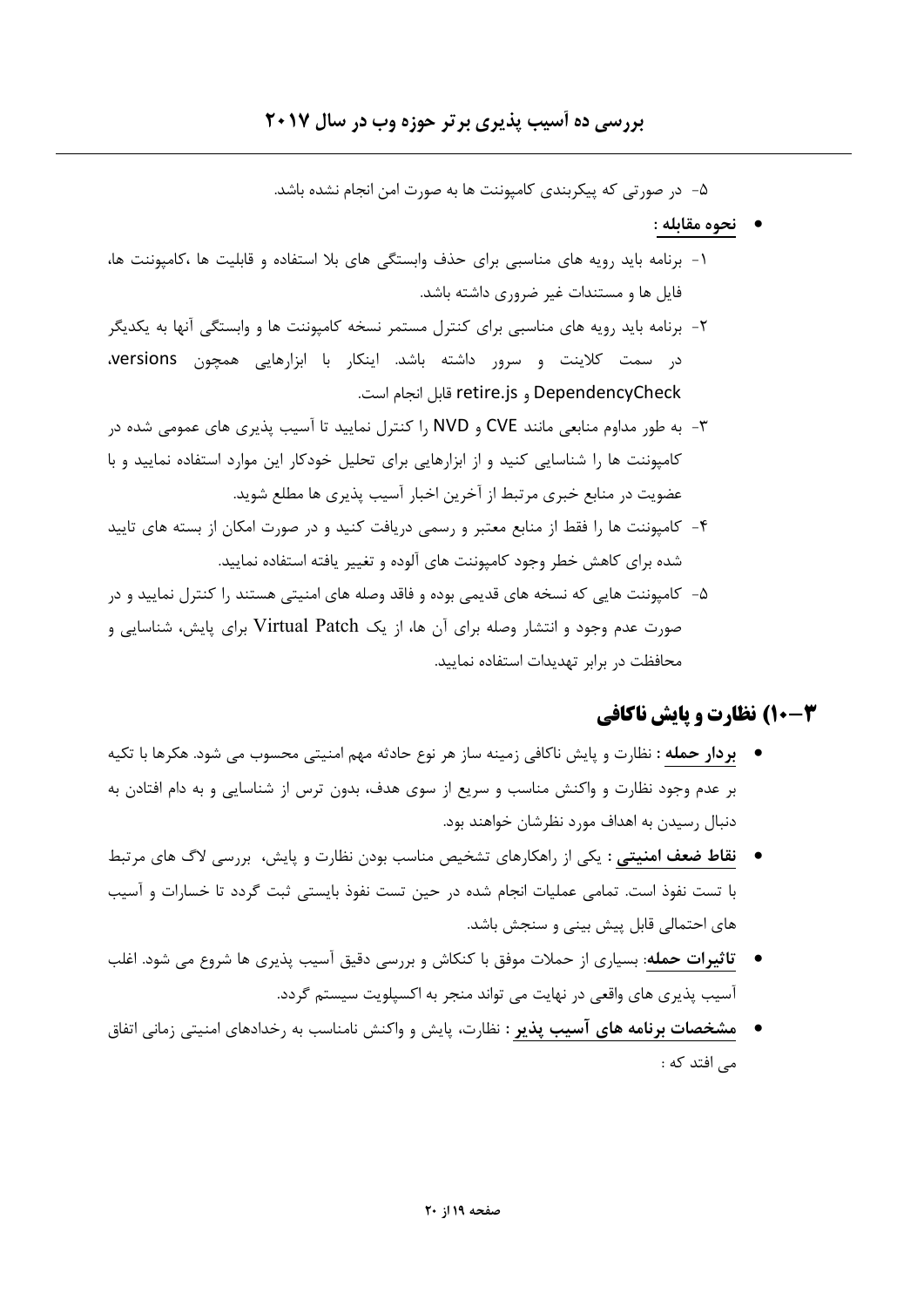### بررسی ده آسیب پذیری بر تر حوزه وب در سال ۲۰۱۷

۵– در صورتی که پیکربندی کامپوننت ها به صورت امن انجام نشده باشد.

- نحوه مقابله :
- ۱- برنامه باید رویه های مناسبی برای حذف وابستگی های بلا استفاده و قابلیت ها ،کامپوننت ها، فایل ها و مستندات غیر ضروری داشته باشد.
- ۲- برنامه باید رویه های مناسبی برای کنترل مستمر نسخه کامپوننت ها و وابستگی آنها به یکدیگر در سمت کلاینت و سرور داشته باشد. اینکار با ابزارهایی همچون versions، DependencyCheck و retire.js قابل انجام است.
- ۳- به طور مداوم منابعی مانند CVE و NVD را کنترل نمایید تا آسیب پذیری های عمومی شده در کامپوننت ها را شناسایی کنید و از ابزارهایی برای تحلیل خودکار این موارد استفاده نمایید و با عضویت در منابع خبری مرتبط از آخرین اخبار آسیب پذیری ها مطلع شوید.
- ۴- کامپوننت ها را فقط از منابع معتبر و رسمی دریافت کنید و در صورت امکان از بسته های تایید شده برای کاهش خطر وجود کامپوننت های آلوده و تغییر یافته استفاده نمایید.
- ۵– کامپوننت هایی که نسخه های قدیمی بوده و فاقد وصله های امنیتی هستند را کنترل نمایید و در صورت عدم وجود و انتشار وصله برای آن ها، از یک Virtual Patch برای پایش، شناسایی و محافظت در برابر تهديدات استفاده نماييد.

### **4-10) نظارت و پایش ناکافی**

- بردار حمله : نظارت و پایش ناکافی زمینه ساز هر نوع حادثه مهم امنیتی محسوب می شود. هکرها با تکیه بر عدم وجود نظارت و واکنش مناسب و سریع از سوی هدف، بدون ترس از شناسایی و به دام افتادن به دنبال رسیدن به اهداف مورد نظرشان خواهند بود.
- نقاط ضعف امنیتی : یکی از راهکارهای تشخیص مناسب بودن نظارت و پایش، بررسی لاگ های مرتبط با تست نفوذ است. تمامی عملیات انجام شده در حین تست نفوذ بایستی ثبت گردد تا خسارات و آسیب های احتمالی قابل پیش بینی و سنجش باشد.
- تاثیرات حمله: بسیاری از حملات موفق با کنکاش و بررسی دقیق آسیب پذیری ها شروع می شود. اغلب آسیب پذیری های واقعی در نهایت می تواند منجر به اکسپلویت سیستم گردد.
- **مشخصات برنامه های آسیب پذیر :** نظارت، پایش و واکنش نامناسب به رخدادهای امنیتی زمانی اتفاق مے افتد که :